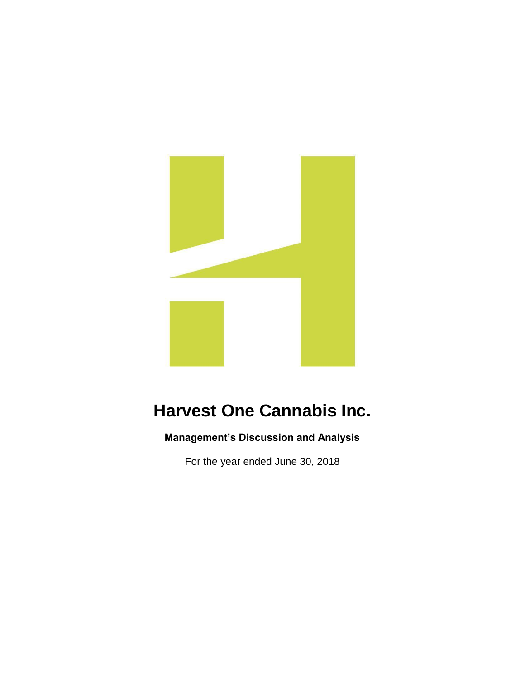

# **Harvest One Cannabis Inc.**

**Management's Discussion and Analysis**

For the year ended June 30, 2018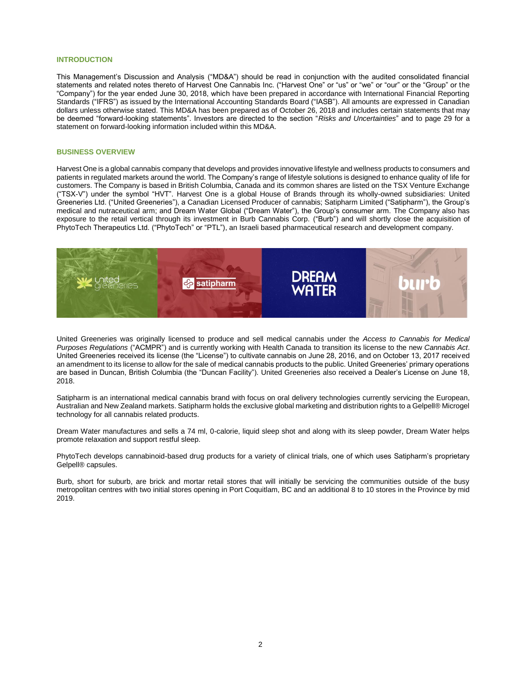# **INTRODUCTION**

This Management's Discussion and Analysis ("MD&A") should be read in conjunction with the audited consolidated financial statements and related notes thereto of Harvest One Cannabis Inc. ("Harvest One" or "us" or "we" or "our" or the "Group" or the "Company") for the year ended June 30, 2018, which have been prepared in accordance with International Financial Reporting Standards ("IFRS") as issued by the International Accounting Standards Board ("IASB"). All amounts are expressed in Canadian dollars unless otherwise stated. This MD&A has been prepared as of October 26, 2018 and includes certain statements that may be deemed "forward-looking statements". Investors are directed to the section "*Risks and Uncertainties*" and to page 29 for a statement on forward-looking information included within this MD&A.

#### **BUSINESS OVERVIEW**

Harvest One is a global cannabis company that develops and provides innovative lifestyle and wellness products to consumers and patients in regulated markets around the world. The Company's range of lifestyle solutions is designed to enhance quality of life for customers. The Company is based in British Columbia, Canada and its common shares are listed on the TSX Venture Exchange ("TSX-V") under the symbol "HVT". Harvest One is a global House of Brands through its wholly-owned subsidiaries: United Greeneries Ltd. ("United Greeneries"), a Canadian Licensed Producer of cannabis; Satipharm Limited ("Satipharm"), the Group's medical and nutraceutical arm; and Dream Water Global ("Dream Water"), the Group's consumer arm. The Company also has exposure to the retail vertical through its investment in Burb Cannabis Corp. ("Burb") and will shortly close the acquisition of PhytoTech Therapeutics Ltd. ("PhytoTech" or "PTL"), an Israeli based pharmaceutical research and development company.



United Greeneries was originally licensed to produce and sell medical cannabis under the *Access to Cannabis for Medical Purposes Regulations* ("ACMPR") and is currently working with Health Canada to transition its license to the new *Cannabis Act*. United Greeneries received its license (the "License") to cultivate cannabis on June 28, 2016, and on October 13, 2017 received an amendment to its license to allow for the sale of medical cannabis products to the public. United Greeneries' primary operations are based in Duncan, British Columbia (the "Duncan Facility"). United Greeneries also received a Dealer's License on June 18, 2018.

Satipharm is an international medical cannabis brand with focus on oral delivery technologies currently servicing the European, Australian and New Zealand markets. Satipharm holds the exclusive global marketing and distribution rights to a Gelpell® Microgel technology for all cannabis related products.

Dream Water manufactures and sells a 74 ml, 0-calorie, liquid sleep shot and along with its sleep powder, Dream Water helps promote relaxation and support restful sleep.

PhytoTech develops cannabinoid-based drug products for a variety of clinical trials, one of which uses Satipharm's proprietary Gelpell® capsules.

Burb, short for suburb, are brick and mortar retail stores that will initially be servicing the communities outside of the busy metropolitan centres with two initial stores opening in Port Coquitlam, BC and an additional 8 to 10 stores in the Province by mid 2019.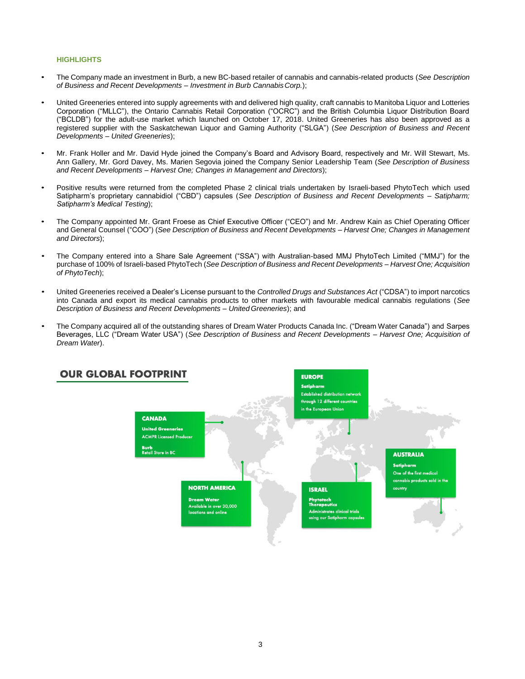# **HIGHLIGHTS**

- The Company made an investment in Burb, a new BC-based retailer of cannabis and cannabis-related products (*See Description of Business and Recent Developments – Investment in Burb CannabisCorp.*);
- United Greeneries entered into supply agreements with and delivered high quality, craft cannabis to Manitoba Liquor and Lotteries Corporation ("MLLC"), the Ontario Cannabis Retail Corporation ("OCRC") and the British Columbia Liquor Distribution Board ("BCLDB") for the adult-use market which launched on October 17, 2018. United Greeneries has also been approved as a registered supplier with the Saskatchewan Liquor and Gaming Authority ("SLGA") (*See Description of Business and Recent Developments – United Greeneries*);
- Mr. Frank Holler and Mr. David Hyde joined the Company's Board and Advisory Board, respectively and Mr. Will Stewart, Ms. Ann Gallery, Mr. Gord Davey, Ms. Marien Segovia joined the Company Senior Leadership Team (*See Description of Business and Recent Developments – Harvest One; Changes in Management and Directors*);
- Positive results were returned from the completed Phase 2 clinical trials undertaken by Israeli-based PhytoTech which used Satipharm's proprietary cannabidiol ("CBD") capsules (*See Description of Business and Recent Developments – Satipharm; Satipharm's Medical Testing*);
- The Company appointed Mr. Grant Froese as Chief Executive Officer ("CEO") and Mr. Andrew Kain as Chief Operating Officer and General Counsel ("COO") (*See Description of Business and Recent Developments – Harvest One; Changes in Management and Directors*);
- The Company entered into a Share Sale Agreement ("SSA") with Australian-based MMJ PhytoTech Limited ("MMJ") for the purchase of 100% of Israeli-based PhytoTech (*See Description of Business and Recent Developments – Harvest One; Acquisition of PhytoTech*);
- United Greeneries received a Dealer's License pursuant to the *Controlled Drugs and Substances Act* ("CDSA") to import narcotics into Canada and export its medical cannabis products to other markets with favourable medical cannabis regulations (*See Description of Business and Recent Developments – United Greeneries*); and
- The Company acquired all of the outstanding shares of Dream Water Products Canada Inc. ("Dream Water Canada") and Sarpes Beverages, LLC ("Dream Water USA") (*See Description of Business and Recent Developments – Harvest One; Acquisition of Dream Water*).

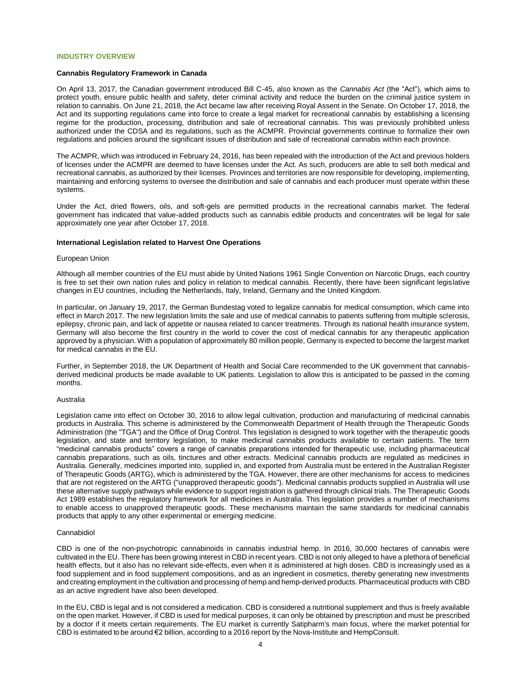# **INDUSTRY OVERVIEW**

#### **Cannabis Regulatory Framework in Canada**

On April 13, 2017, the Canadian government introduced Bill C-45, also known as the *Cannabis Act* (the "Act"), which aims to protect youth, ensure public health and safety, deter criminal activity and reduce the burden on the criminal justice system in relation to cannabis. On June 21, 2018, the Act became law after receiving Royal Assent in the Senate. On October 17, 2018, the Act and its supporting regulations came into force to create a legal market for recreational cannabis by establishing a licensing regime for the production, processing, distribution and sale of recreational cannabis. This was previously prohibited unless authorized under the CDSA and its regulations, such as the ACMPR. Provincial governments continue to formalize their own regulations and policies around the significant issues of distribution and sale of recreational cannabis within each province.

The ACMPR, which was introduced in February 24, 2016, has been repealed with the introduction of the Act and previous holders of licenses under the ACMPR are deemed to have licenses under the Act. As such, producers are able to sell both medical and recreational cannabis, as authorized by their licenses. Provinces and territories are now responsible for developing, implementing, maintaining and enforcing systems to oversee the distribution and sale of cannabis and each producer must operate within these systems.

Under the Act, dried flowers, oils, and soft-gels are permitted products in the recreational cannabis market. The federal government has indicated that value-added products such as cannabis edible products and concentrates will be legal for sale approximately one year after October 17, 2018.

#### **International Legislation related to Harvest One Operations**

#### European Union

Although all member countries of the EU must abide by United Nations 1961 Single Convention on Narcotic Drugs, each country is free to set their own nation rules and policy in relation to medical cannabis. Recently, there have been significant legislative changes in EU countries, including the Netherlands, Italy, Ireland, Germany and the United Kingdom.

In particular, on January 19, 2017, the German Bundestag voted to legalize cannabis for medical consumption, which came into effect in March 2017. The new legislation limits the sale and use of medical cannabis to patients suffering from multiple sclerosis, epilepsy, chronic pain, and lack of appetite or nausea related to cancer treatments. Through its national health insurance system, Germany will also become the first country in the world to cover the cost of medical cannabis for any therapeutic application approved by a physician. With a population of approximately 80 million people, Germany is expected to become the largest market for medical cannabis in the EU.

Further, in September 2018, the UK Department of Health and Social Care recommended to the UK government that cannabisderived medicinal products be made available to UK patients. Legislation to allow this is anticipated to be passed in the coming months.

#### Australia

Legislation came into effect on October 30, 2016 to allow legal cultivation, production and manufacturing of medicinal cannabis products in Australia. This scheme is administered by the Commonwealth Department of Health through the Therapeutic Goods Administration (the "TGA") and the Office of Drug Control. This legislation is designed to work together with the therapeutic goods legislation, and state and territory legislation, to make medicinal cannabis products available to certain patients. The term "medicinal cannabis products" covers a range of cannabis preparations intended for therapeutic use, including pharmaceutical cannabis preparations, such as oils, tinctures and other extracts. Medicinal cannabis products are regulated as medicines in Australia. Generally, medicines imported into, supplied in, and exported from Australia must be entered in the Australian Register of Therapeutic Goods (ARTG), which is administered by the TGA. However, there are other mechanisms for access to medicines that are not registered on the ARTG ("unapproved therapeutic goods"). Medicinal cannabis products supplied in Australia will use these alternative supply pathways while evidence to support registration is gathered through clinical trials. The Therapeutic Goods Act 1989 establishes the regulatory framework for all medicines in Australia. This legislation provides a number of mechanisms to enable access to unapproved therapeutic goods. These mechanisms maintain the same standards for medicinal cannabis products that apply to any other experimental or emerging medicine.

# Cannabidiol

CBD is one of the non-psychotropic cannabinoids in cannabis industrial hemp. In 2016, 30,000 hectares of cannabis were cultivated in the EU. There has been growing interest in CBD in recent years. CBD is not only alleged to have a plethora of beneficial health effects, but it also has no relevant side-effects, even when it is administered at high doses. CBD is increasingly used as a food supplement and in food supplement compositions, and as an ingredient in cosmetics, thereby generating new investments and creating employment in the cultivation and processing of hemp and hemp-derived products. Pharmaceutical products with CBD as an active ingredient have also been developed.

In the EU, CBD is legal and is not considered a medication. CBD is considered a nutritional supplement and thus is freely available on the open market. However, if CBD is used for medical purposes, it can only be obtained by prescription and must be prescribed by a doctor if it meets certain requirements. The EU market is currently Satipharm's main focus, where the market potential for CBD is estimated to be around €2 billion, according to a 2016 report by the Nova-Institute and HempConsult.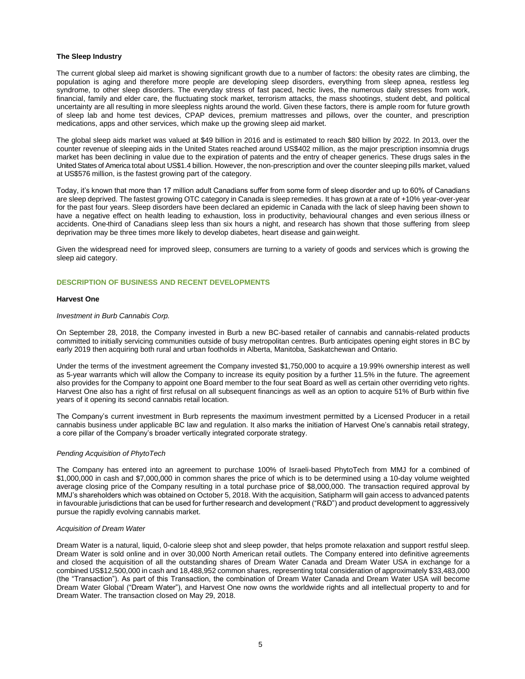# **The Sleep Industry**

The current global sleep aid market is showing significant growth due to a number of factors: the obesity rates are climbing, the population is aging and therefore more people are developing sleep disorders, everything from sleep apnea, restless leg syndrome, to other sleep disorders. The everyday stress of fast paced, hectic lives, the numerous daily stresses from work, financial, family and elder care, the fluctuating stock market, terrorism attacks, the mass shootings, student debt, and political uncertainty are all resulting in more sleepless nights around the world. Given these factors, there is ample room for future growth of sleep lab and home test devices, CPAP devices, premium mattresses and pillows, over the counter, and prescription medications, apps and other services, which make up the growing sleep aid market.

The global sleep aids market was valued at \$49 billion in 2016 and is estimated to reach \$80 billion by 2022. In 2013, over the counter revenue of sleeping aids in the United States reached around US\$402 million, as the major prescription insomnia drugs market has been declining in value due to the expiration of patents and the entry of cheaper generics. These drugs sales in the United States of America total about US\$1.4 billion. However, the non-prescription and over the counter sleeping pills market, valued at US\$576 million, is the fastest growing part of the category.

Today, it's known that more than 17 million adult Canadians suffer from some form of sleep disorder and up to 60% of Canadians are sleep deprived. The fastest growing OTC category in Canada is sleep remedies. It has grown at a rate of +10% year-over-year for the past four years. Sleep disorders have been declared an epidemic in Canada with the lack of sleep having been shown to have a negative effect on health leading to exhaustion, loss in productivity, behavioural changes and even serious illness or accidents. One-third of Canadians sleep less than six hours a night, and research has shown that those suffering from sleep deprivation may be three times more likely to develop diabetes, heart disease and gain weight.

Given the widespread need for improved sleep, consumers are turning to a variety of goods and services which is growing the sleep aid category.

# **DESCRIPTION OF BUSINESS AND RECENT DEVELOPMENTS**

# **Harvest One**

#### *Investment in Burb Cannabis Corp.*

On September 28, 2018, the Company invested in Burb a new BC-based retailer of cannabis and cannabis-related products committed to initially servicing communities outside of busy metropolitan centres. Burb anticipates opening eight stores in BC by early 2019 then acquiring both rural and urban footholds in Alberta, Manitoba, Saskatchewan and Ontario.

Under the terms of the investment agreement the Company invested \$1,750,000 to acquire a 19.99% ownership interest as well as 5-year warrants which will allow the Company to increase its equity position by a further 11.5% in the future. The agreement also provides for the Company to appoint one Board member to the four seat Board as well as certain other overriding veto rights. Harvest One also has a right of first refusal on all subsequent financings as well as an option to acquire 51% of Burb within five years of it opening its second cannabis retail location.

The Company's current investment in Burb represents the maximum investment permitted by a Licensed Producer in a retail cannabis business under applicable BC law and regulation. It also marks the initiation of Harvest One's cannabis retail strategy, a core pillar of the Company's broader vertically integrated corporate strategy.

# *Pending Acquisition of PhytoTech*

The Company has entered into an agreement to purchase 100% of Israeli-based PhytoTech from MMJ for a combined of \$1,000,000 in cash and \$7,000,000 in common shares the price of which is to be determined using a 10-day volume weighted average closing price of the Company resulting in a total purchase price of \$8,000,000. The transaction required approval by MMJ's shareholders which was obtained on October 5, 2018. With the acquisition, Satipharm will gain access to advanced patents in favourable jurisdictions that can be used for further research and development ("R&D") and product development to aggressively pursue the rapidly evolving cannabis market.

#### *Acquisition of Dream Water*

Dream Water is a natural, liquid, 0-calorie sleep shot and sleep powder, that helps promote relaxation and support restful sleep. Dream Water is sold online and in over 30,000 North American retail outlets. The Company entered into definitive agreements and closed the acquisition of all the outstanding shares of Dream Water Canada and Dream Water USA in exchange for a combined US\$12,500,000 in cash and 18,488,952 common shares, representing total consideration of approximately \$33,483,000 (the "Transaction"). As part of this Transaction, the combination of Dream Water Canada and Dream Water USA will become Dream Water Global ("Dream Water"), and Harvest One now owns the worldwide rights and all intellectual property to and for Dream Water. The transaction closed on May 29, 2018.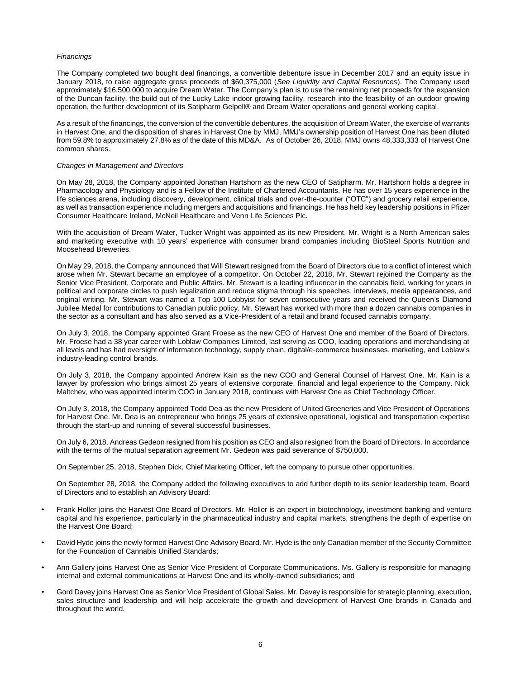# *Financings*

The Company completed two bought deal financings, a convertible debenture issue in December 2017 and an equity issue in January 2018, to raise aggregate gross proceeds of \$60,375,000 (*See Liquidity and Capital Resources*). The Company used approximately \$16,500,000 to acquire Dream Water. The Company's plan is to use the remaining net proceeds for the expansion of the Duncan facility, the build out of the Lucky Lake indoor growing facility, research into the feasibility of an outdoor growing operation, the further development of its Satipharm Gelpell® and Dream Water operations and general working capital.

As a result of the financings, the conversion of the convertible debentures, the acquisition of Dream Water, the exercise of warrants in Harvest One, and the disposition of shares in Harvest One by MMJ, MMJ's ownership position of Harvest One has been diluted from 59.8% to approximately 27.8% as of the date of this MD&A. As of October 26, 2018, MMJ owns 48,333,333 of Harvest One common shares.

# *Changes in Management and Directors*

On May 28, 2018, the Company appointed Jonathan Hartshorn as the new CEO of Satipharm. Mr. Hartshorn holds a degree in Pharmacology and Physiology and is a Fellow of the Institute of Chartered Accountants. He has over 15 years experience in the life sciences arena, including discovery, development, clinical trials and over-the-counter ("OTC") and grocery retail experience, as well as transaction experience including mergers and acquisitions and financings. He has held key leadership positions in Pfizer Consumer Healthcare Ireland, McNeil Healthcare and Venn Life Sciences Plc.

With the acquisition of Dream Water, Tucker Wright was appointed as its new President. Mr. Wright is a North American sales and marketing executive with 10 years' experience with consumer brand companies including BioSteel Sports Nutrition and Moosehead Breweries.

On May 29, 2018, the Company announced that Will Stewart resigned from the Board of Directors due to a conflict of interest which arose when Mr. Stewart became an employee of a competitor. On October 22, 2018, Mr. Stewart rejoined the Company as the Senior Vice President, Corporate and Public Affairs. Mr. Stewart is a leading influencer in the cannabis field, working for years in political and corporate circles to push legalization and reduce stigma through his speeches, interviews, media appearances, and original writing. Mr. Stewart was named a Top 100 Lobbyist for seven consecutive years and received the Queen's Diamond Jubilee Medal for contributions to Canadian public policy. Mr. Stewart has worked with more than a dozen cannabis companies in the sector as a consultant and has also served as a Vice-President of a retail and brand focused cannabis company.

On July 3, 2018, the Company appointed Grant Froese as the new CEO of Harvest One and member of the Board of Directors. Mr. Froese had a 38 year career with Loblaw Companies Limited, last serving as COO, leading operations and merchandising at all levels and has had oversight of information technology, supply chain, digital/e-commerce businesses, marketing, and Loblaw's industry-leading control brands.

On July 3, 2018, the Company appointed Andrew Kain as the new COO and General Counsel of Harvest One. Mr. Kain is a lawyer by profession who brings almost 25 years of extensive corporate, financial and legal experience to the Company. Nick Maltchev, who was appointed interim COO in January 2018, continues with Harvest One as Chief Technology Officer.

On July 3, 2018, the Company appointed Todd Dea as the new President of United Greeneries and Vice President of Operations for Harvest One. Mr. Dea is an entrepreneur who brings 25 years of extensive operational, logistical and transportation expertise through the start-up and running of several successful businesses.

On July 6, 2018, Andreas Gedeon resigned from his position as CEO and also resigned from the Board of Directors. In accordance with the terms of the mutual separation agreement Mr. Gedeon was paid severance of \$750,000.

On September 25, 2018, Stephen Dick, Chief Marketing Officer, left the company to pursue other opportunities.

On September 28, 2018, the Company added the following executives to add further depth to its senior leadership team, Board of Directors and to establish an Advisory Board:

- Frank Holler joins the Harvest One Board of Directors. Mr. Holler is an expert in biotechnology, investment banking and venture capital and his experience, particularly in the pharmaceutical industry and capital markets, strengthens the depth of expertise on the Harvest One Board;
- David Hyde joins the newly formed Harvest One Advisory Board. Mr. Hyde is the only Canadian member of the Security Committee for the Foundation of Cannabis Unified Standards;
- Ann Gallery joins Harvest One as Senior Vice President of Corporate Communications. Ms. Gallery is responsible for managing internal and external communications at Harvest One and its wholly-owned subsidiaries; and
- Gord Davey joins Harvest One as Senior Vice President of Global Sales. Mr. Davey is responsible for strategic planning, execution, sales structure and leadership and will help accelerate the growth and development of Harvest One brands in Canada and throughout the world.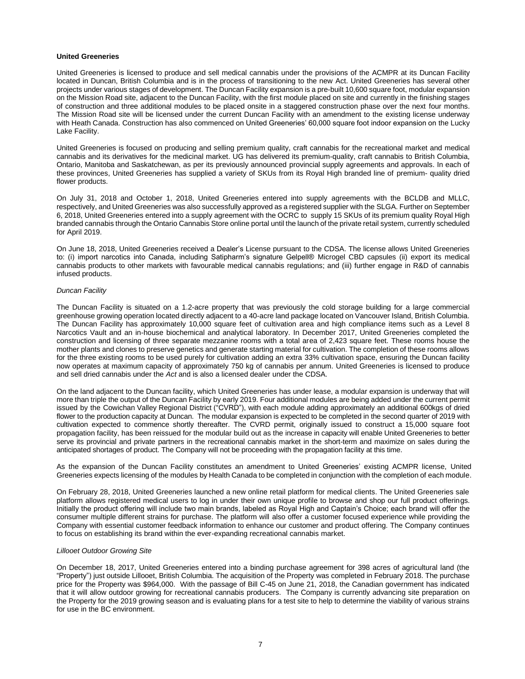### **United Greeneries**

United Greeneries is licensed to produce and sell medical cannabis under the provisions of the ACMPR at its Duncan Facility located in Duncan, British Columbia and is in the process of transitioning to the new Act. United Greeneries has several other projects under various stages of development. The Duncan Facility expansion is a pre-built 10,600 square foot, modular expansion on the Mission Road site, adjacent to the Duncan Facility, with the first module placed on site and currently in the finishing stages of construction and three additional modules to be placed onsite in a staggered construction phase over the next four months. The Mission Road site will be licensed under the current Duncan Facility with an amendment to the existing license underway with Heath Canada. Construction has also commenced on United Greeneries' 60,000 square foot indoor expansion on the Lucky Lake Facility.

United Greeneries is focused on producing and selling premium quality, craft cannabis for the recreational market and medical cannabis and its derivatives for the medicinal market. UG has delivered its premium-quality, craft cannabis to British Columbia, Ontario, Manitoba and Saskatchewan, as per its previously announced provincial supply agreements and approvals. In each of these provinces, United Greeneries has supplied a variety of SKUs from its Royal High branded line of premium- quality dried flower products.

On July 31, 2018 and October 1, 2018, United Greeneries entered into supply agreements with the BCLDB and MLLC, respectively, and United Greeneries was also successfully approved as a registered supplier with the SLGA. Further on September 6, 2018, United Greeneries entered into a supply agreement with the OCRC to supply 15 SKUs of its premium quality Royal High branded cannabis through the Ontario Cannabis Store online portal until the launch of the private retail system, currently scheduled for April 2019.

On June 18, 2018, United Greeneries received a Dealer's License pursuant to the CDSA. The license allows United Greeneries to: (i) import narcotics into Canada, including Satipharm's signature Gelpell® Microgel CBD capsules (ii) export its medical cannabis products to other markets with favourable medical cannabis regulations; and (iii) further engage in R&D of cannabis infused products.

# *Duncan Facility*

The Duncan Facility is situated on a 1.2-acre property that was previously the cold storage building for a large commercial greenhouse growing operation located directly adjacent to a 40-acre land package located on Vancouver Island, British Columbia. The Duncan Facility has approximately 10,000 square feet of cultivation area and high compliance items such as a Level 8 Narcotics Vault and an in-house biochemical and analytical laboratory. In December 2017, United Greeneries completed the construction and licensing of three separate mezzanine rooms with a total area of 2,423 square feet. These rooms house the mother plants and clones to preserve genetics and generate starting material for cultivation. The completion of these rooms allows for the three existing rooms to be used purely for cultivation adding an extra 33% cultivation space, ensuring the Duncan facility now operates at maximum capacity of approximately 750 kg of cannabis per annum. United Greeneries is licensed to produce and sell dried cannabis under the *Act* and is also a licensed dealer under the CDSA.

On the land adjacent to the Duncan facility, which United Greeneries has under lease, a modular expansion is underway that will more than triple the output of the Duncan Facility by early 2019. Four additional modules are being added under the current permit issued by the Cowichan Valley Regional District ("CVRD"), with each module adding approximately an additional 600kgs of dried flower to the production capacity at Duncan. The modular expansion is expected to be completed in the second quarter of 2019 with cultivation expected to commence shortly thereafter. The CVRD permit, originally issued to construct a 15,000 square foot propagation facility, has been reissued for the modular build out as the increase in capacity will enable United Greeneries to better serve its provincial and private partners in the recreational cannabis market in the short-term and maximize on sales during the anticipated shortages of product. The Company will not be proceeding with the propagation facility at this time.

As the expansion of the Duncan Facility constitutes an amendment to United Greeneries' existing ACMPR license, United Greeneries expects licensing of the modules by Health Canada to be completed in conjunction with the completion of each module.

On February 28, 2018, United Greeneries launched a new online retail platform for medical clients. The United Greeneries sale platform allows registered medical users to log in under their own unique profile to browse and shop our full product offerings. Initially the product offering will include two main brands, labeled as Royal High and Captain's Choice; each brand will offer the consumer multiple different strains for purchase. The platform will also offer a customer focused experience while providing the Company with essential customer feedback information to enhance our customer and product offering. The Company continues to focus on establishing its brand within the ever-expanding recreational cannabis market.

# *Lillooet Outdoor Growing Site*

On December 18, 2017, United Greeneries entered into a binding purchase agreement for 398 acres of agricultural land (the "Property") just outside Lillooet, British Columbia. The acquisition of the Property was completed in February 2018. The purchase price for the Property was \$964,000. With the passage of Bill C-45 on June 21, 2018, the Canadian government has indicated that it will allow outdoor growing for recreational cannabis producers. The Company is currently advancing site preparation on the Property for the 2019 growing season and is evaluating plans for a test site to help to determine the viability of various strains for use in the BC environment.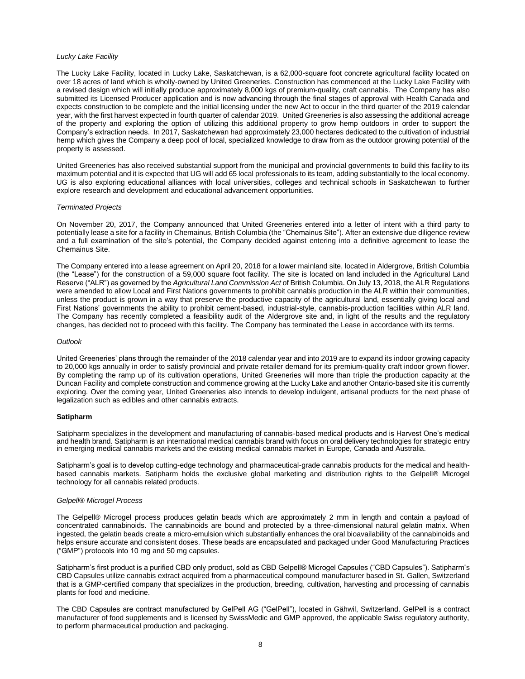#### *Lucky Lake Facility*

The Lucky Lake Facility, located in Lucky Lake, Saskatchewan, is a 62,000-square foot concrete agricultural facility located on over 18 acres of land which is wholly-owned by United Greeneries. Construction has commenced at the Lucky Lake Facility with a revised design which will initially produce approximately 8,000 kgs of premium-quality, craft cannabis. The Company has also submitted its Licensed Producer application and is now advancing through the final stages of approval with Health Canada and expects construction to be complete and the initial licensing under the new Act to occur in the third quarter of the 2019 calendar year, with the first harvest expected in fourth quarter of calendar 2019. United Greeneries is also assessing the additional acreage of the property and exploring the option of utilizing this additional property to grow hemp outdoors in order to support the Company's extraction needs. In 2017, Saskatchewan had approximately 23,000 hectares dedicated to the cultivation of industrial hemp which gives the Company a deep pool of local, specialized knowledge to draw from as the outdoor growing potential of the property is assessed.

United Greeneries has also received substantial support from the municipal and provincial governments to build this facility to its maximum potential and it is expected that UG will add 65 local professionals to its team, adding substantially to the local economy. UG is also exploring educational alliances with local universities, colleges and technical schools in Saskatchewan to further explore research and development and educational advancement opportunities.

#### *Terminated Projects*

On November 20, 2017, the Company announced that United Greeneries entered into a letter of intent with a third party to potentially lease a site for a facility in Chemainus, British Columbia (the "Chemainus Site"). After an extensive due diligence review and a full examination of the site's potential, the Company decided against entering into a definitive agreement to lease the Chemainus Site.

The Company entered into a lease agreement on April 20, 2018 for a lower mainland site, located in Aldergrove, British Columbia (the "Lease") for the construction of a 59,000 square foot facility. The site is located on land included in the Agricultural Land Reserve ("ALR") as governed by the *Agricultural Land Commission Act* of British Columbia. On July 13, 2018, the ALR Regulations were amended to allow Local and First Nations governments to prohibit cannabis production in the ALR within their communities, unless the product is grown in a way that preserve the productive capacity of the agricultural land, essentially giving local and First Nations' governments the ability to prohibit cement-based, industrial-style, cannabis-production facilities within ALR land. The Company has recently completed a feasibility audit of the Aldergrove site and, in light of the results and the regulatory changes, has decided not to proceed with this facility. The Company has terminated the Lease in accordance with its terms.

#### *Outlook*

United Greeneries' plans through the remainder of the 2018 calendar year and into 2019 are to expand its indoor growing capacity to 20,000 kgs annually in order to satisfy provincial and private retailer demand for its premium-quality craft indoor grown flower. By completing the ramp up of its cultivation operations, United Greeneries will more than triple the production capacity at the Duncan Facility and complete construction and commence growing at the Lucky Lake and another Ontario-based site it is currently exploring. Over the coming year, United Greeneries also intends to develop indulgent, artisanal products for the next phase of legalization such as edibles and other cannabis extracts.

# **Satipharm**

Satipharm specializes in the development and manufacturing of cannabis-based medical products and is Harvest One's medical and health brand. Satipharm is an international medical cannabis brand with focus on oral delivery technologies for strategic entry in emerging medical cannabis markets and the existing medical cannabis market in Europe, Canada and Australia.

Satipharm's goal is to develop cutting-edge technology and pharmaceutical-grade cannabis products for the medical and healthbased cannabis markets. Satipharm holds the exclusive global marketing and distribution rights to the Gelpell® Microgel technology for all cannabis related products.

# *Gelpell® Microgel Process*

The Gelpell® Microgel process produces gelatin beads which are approximately 2 mm in length and contain a payload of concentrated cannabinoids. The cannabinoids are bound and protected by a three-dimensional natural gelatin matrix. When ingested, the gelatin beads create a micro-emulsion which substantially enhances the oral bioavailability of the cannabinoids and helps ensure accurate and consistent doses. These beads are encapsulated and packaged under Good Manufacturing Practices ("GMP") protocols into 10 mg and 50 mg capsules.

Satipharm's first product is a purified CBD only product, sold as CBD Gelpell® Microgel Capsules ("CBD Capsules"). Satipharm's CBD Capsules utilize cannabis extract acquired from a pharmaceutical compound manufacturer based in St. Gallen, Switzerland that is a GMP-certified company that specializes in the production, breeding, cultivation, harvesting and processing of cannabis plants for food and medicine.

The CBD Capsules are contract manufactured by GelPell AG ("GelPell"), located in Gähwil, Switzerland. GelPell is a contract manufacturer of food supplements and is licensed by SwissMedic and GMP approved, the applicable Swiss regulatory authority, to perform pharmaceutical production and packaging.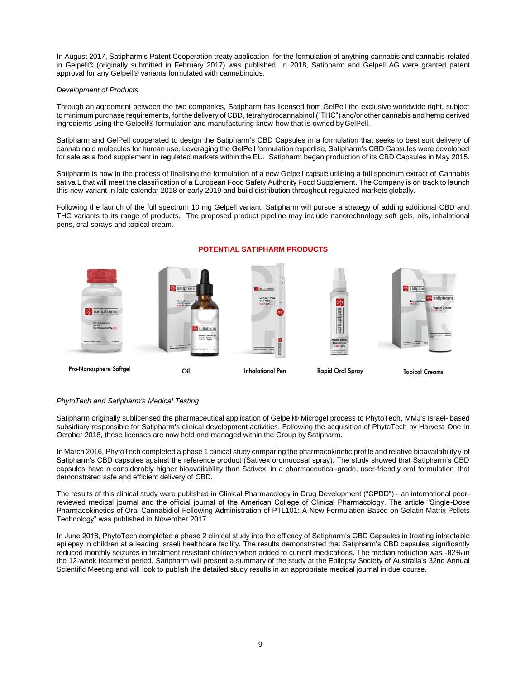In August 2017, Satipharm's Patent Cooperation treaty application for the formulation of anything cannabis and cannabis-related in Gelpell® (originally submitted in February 2017) was published. In 2018, Satipharm and Gelpell AG were granted patent approval for any Gelpell® variants formulated with cannabinoids.

# *Development of Products*

Through an agreement between the two companies, Satipharm has licensed from GelPell the exclusive worldwide right, subject to minimum purchase requirements, for the delivery of CBD, tetrahydrocannabinol ("THC") and/or other cannabis and hemp derived ingredients using the Gelpell® formulation and manufacturing know-how that is owned byGelPell.

Satipharm and GelPell cooperated to design the Satipharm's CBD Capsules in a formulation that seeks to best suit delivery of cannabinoid molecules for human use. Leveraging the GelPell formulation expertise, Satipharm's CBD Capsules were developed for sale as a food supplement in regulated markets within the EU. Satipharm began production of its CBD Capsules in May 2015.

Satipharm is now in the process of finalising the formulation of a new Gelpell capsule utilising a full spectrum extract of Cannabis sativa L that will meet the classification of a European Food Safety Authority Food Supplement. The Company is on track to launch this new variant in late calendar 2018 or early 2019 and build distribution throughout regulated markets globally.

Following the launch of the full spectrum 10 mg Gelpell variant, Satipharm will pursue a strategy of adding additional CBD and THC variants to its range of products. The proposed product pipeline may include nanotechnology soft gels, oils, inhalational pens, oral sprays and topical cream.



# **POTENTIAL SATIPHARM PRODUCTS**

# *PhytoTech and Satipharm's Medical Testing*

Satipharm originally sublicensed the pharmaceutical application of Gelpell® Microgel process to PhytoTech, MMJ's Israel- based subsidiary responsible for Satipharm's clinical development activities. Following the acquisition of PhytoTech by Harvest One in October 2018, these licenses are now held and managed within the Group by Satipharm.

In March 2016, PhytoTech completed a phase 1 clinical study comparing the pharmacokinetic profile and relative bioavailabilityy of Satipharm's CBD capsules against the reference product (Sativex oromucosal spray). The study showed that Satipharm's CBD capsules have a considerably higher bioavailability than Sativex, in a pharmaceutical-grade, user-friendly oral formulation that demonstrated safe and efficient delivery of CBD.

The results of this clinical study were published in Clinical Pharmacology in Drug Development ("CPDD") - an international peerreviewed medical journal and the official journal of the American College of Clinical Pharmacology. The article "Single-Dose Pharmacokinetics of Oral Cannabidiol Following Administration of PTL101: A New Formulation Based on Gelatin Matrix Pellets Technology" was published in November 2017.

In June 2018, PhytoTech completed a phase 2 clinical study into the efficacy of Satipharm's CBD Capsules in treating intractable epilepsy in children at a leading Israeli healthcare facility. The results demonstrated that Satipharm's CBD capsules significantly reduced monthly seizures in treatment resistant children when added to current medications. The median reduction was -82% in the 12-week treatment period. Satipharm will present a summary of the study at the Epilepsy Society of Australia's 32nd Annual Scientific Meeting and will look to publish the detailed study results in an appropriate medical journal in due course.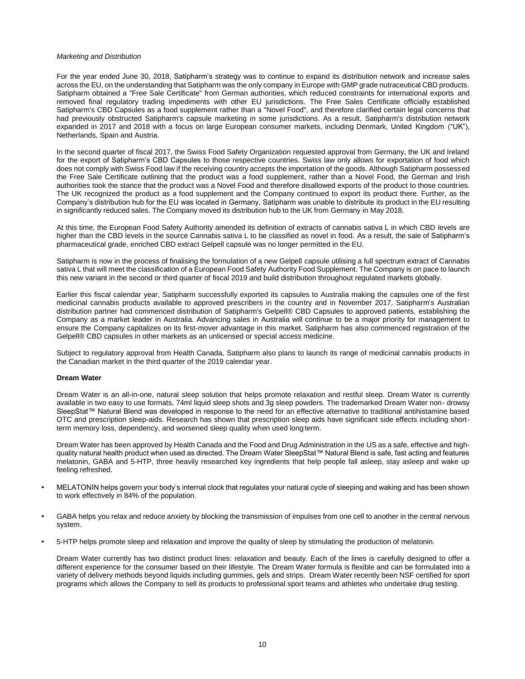# *Marketing and Distribution*

For the year ended June 30, 2018, Satipharm's strategy was to continue to expand its distribution network and increase sales across the EU, on the understanding that Satipharm was the only company in Europe with GMP grade nutraceutical CBD products. Satipharm obtained a "Free Sale Certificate" from German authorities, which reduced constraints for international exports and removed final regulatory trading impediments with other EU jurisdictions. The Free Sales Certificate officially established Satipharm's CBD Capsules as a food supplement rather than a "Novel Food", and therefore clarified certain legal concerns that had previously obstructed Satipharm's capsule marketing in some jurisdictions. As a result, Satipharm's distribution network expanded in 2017 and 2018 with a focus on large European consumer markets, including Denmark, United Kingdom ("UK"), Netherlands, Spain and Austria.

In the second quarter of fiscal 2017, the Swiss Food Safety Organization requested approval from Germany, the UK and Ireland for the export of Satipharm's CBD Capsules to those respective countries. Swiss law only allows for exportation of food which does not comply with Swiss Food law if the receiving country accepts the importation of the goods. Although Satipharm possessed the Free Sale Certificate outlining that the product was a food supplement, rather than a Novel Food, the German and Irish authorities took the stance that the product was a Novel Food and therefore disallowed exports of the product to those countries. The UK recognized the product as a food supplement and the Company continued to export its product there. Further, as the Company's distribution hub for the EU was located in Germany, Satipharm was unable to distribute its product in the EU resulting in significantly reduced sales. The Company moved its distribution hub to the UK from Germany in May 2018.

At this time, the European Food Safety Authority amended its definition of extracts of cannabis sativa L in which CBD levels are higher than the CBD levels in the source Cannabis sativa L to be classified as novel in food. As a result, the sale of Satipharm's pharmaceutical grade, enriched CBD extract Gelpell capsule was no longer permitted in the EU.

Satipharm is now in the process of finalising the formulation of a new Gelpell capsule utilising a full spectrum extract of Cannabis sativa L that will meet the classification of a European Food Safety Authority Food Supplement. The Company is on pace to launch this new variant in the second or third quarter of fiscal 2019 and build distribution throughout regulated markets globally.

Earlier this fiscal calendar year, Satipharm successfully exported its capsules to Australia making the capsules one of the first medicinal cannabis products available to approved prescribers in the country and in November 2017, Satipharm's Australian distribution partner had commenced distribution of Satipharm's Gelpell® CBD Capsules to approved patients, establishing the Company as a market leader in Australia. Advancing sales in Australia will continue to be a major priority for management to ensure the Company capitalizes on its first-mover advantage in this market. Satipharm has also commenced registration of the Gelpell® CBD capsules in other markets as an unlicensed or special access medicine.

Subject to regulatory approval from Health Canada, Satipharm also plans to launch its range of medicinal cannabis products in the Canadian market in the third quarter of the 2019 calendar year.

# **Dream Water**

Dream Water is an all-in-one, natural sleep solution that helps promote relaxation and restful sleep. Dream Water is currently available in two easy to use formats, 74ml liquid sleep shots and 3g sleep powders. The trademarked Dream Water non- drowsy SleepStat™ Natural Blend was developed in response to the need for an effective alternative to traditional antihistamine based OTC and prescription sleep-aids. Research has shown that prescription sleep aids have significant side effects including shortterm memory loss, dependency, and worsened sleep quality when used long term.

Dream Water has been approved by Health Canada and the Food and Drug Administration in the US as a safe, effective and highquality natural health product when used as directed. The Dream Water SleepStat™ Natural Blend is safe, fast acting and features melatonin, GABA and 5-HTP, three heavily researched key ingredients that help people fall asleep, stay asleep and wake up feeling refreshed.

- MELATONIN helps govern your body's internal clock that regulates your natural cycle of sleeping and waking and has been shown to work effectively in 84% of the population.
- GABA helps you relax and reduce anxiety by blocking the transmission of impulses from one cell to another in the central nervous system.
- 5-HTP helps promote sleep and relaxation and improve the quality of sleep by stimulating the production of melatonin.

Dream Water currently has two distinct product lines: relaxation and beauty. Each of the lines is carefully designed to offer a different experience for the consumer based on their lifestyle. The Dream Water formula is flexible and can be formulated into a variety of delivery methods beyond liquids including gummies, gels and strips. Dream Water recently been NSF certified for sport programs which allows the Company to sell its products to professional sport teams and athletes who undertake drug testing.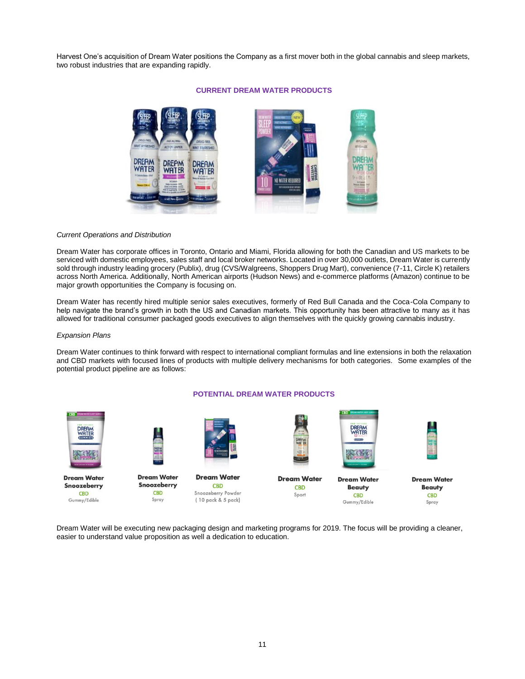Harvest One's acquisition of Dream Water positions the Company as a first mover both in the global cannabis and sleep markets, two robust industries that are expanding rapidly.



# **CURRENT DREAM WATER PRODUCTS**

# *Current Operations and Distribution*

Dream Water has corporate offices in Toronto, Ontario and Miami, Florida allowing for both the Canadian and US markets to be serviced with domestic employees, sales staff and local broker networks. Located in over 30,000 outlets, Dream Water is currently sold through industry leading grocery (Publix), drug (CVS/Walgreens, Shoppers Drug Mart), convenience (7-11, Circle K) retailers across North America. Additionally, North American airports (Hudson News) and e-commerce platforms (Amazon) continue to be major growth opportunities the Company is focusing on.

Dream Water has recently hired multiple senior sales executives, formerly of Red Bull Canada and the Coca-Cola Company to help navigate the brand's growth in both the US and Canadian markets. This opportunity has been attractive to many as it has allowed for traditional consumer packaged goods executives to align themselves with the quickly growing cannabis industry.

#### *Expansion Plans*

Dream Water continues to think forward with respect to international compliant formulas and line extensions in both the relaxation and CBD markets with focused lines of products with multiple delivery mechanisms for both categories. Some examples of the potential product pipeline are as follows:



Dream Water will be executing new packaging design and marketing programs for 2019. The focus will be providing a cleaner, easier to understand value proposition as well a dedication to education.

# **POTENTIAL DREAM WATER PRODUCTS**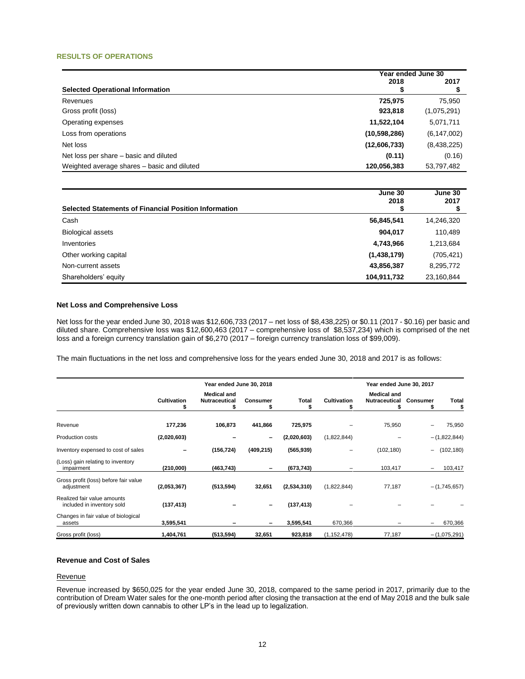# **RESULTS OF OPERATIONS**

|                                             |                | Year ended June 30 |  |  |
|---------------------------------------------|----------------|--------------------|--|--|
| <b>Selected Operational Information</b>     | 2018           | 2017               |  |  |
| Revenues                                    | 725.975        | 75,950             |  |  |
| Gross profit (loss)                         | 923,818        | (1,075,291)        |  |  |
| Operating expenses                          | 11,522,104     | 5,071,711          |  |  |
| Loss from operations                        | (10, 598, 286) | (6, 147, 002)      |  |  |
| Net loss                                    | (12,606,733)   | (8,438,225)        |  |  |
| Net loss per share – basic and diluted      | (0.11)         | (0.16)             |  |  |
| Weighted average shares - basic and diluted | 120,056,383    | 53,797,482         |  |  |

| <b>Selected Statements of Financial Position Information</b> | June 30<br>2018 | June 30<br>2017 |
|--------------------------------------------------------------|-----------------|-----------------|
| Cash                                                         | 56,845,541      | 14,246,320      |
| <b>Biological assets</b>                                     | 904,017         | 110,489         |
| Inventories                                                  | 4,743,966       | 1,213,684       |
| Other working capital                                        | (1,438,179)     | (705, 421)      |
| Non-current assets                                           | 43,856,387      | 8,295,772       |
| Shareholders' equity                                         | 104,911,732     | 23,160,844      |

# **Net Loss and Comprehensive Loss**

Net loss for the year ended June 30, 2018 was \$12,606,733 (2017 – net loss of \$8,438,225) or \$0.11 (2017 - \$0.16) per basic and diluted share. Comprehensive loss was \$12,600,463 (2017 – comprehensive loss of \$8,537,234) which is comprised of the net loss and a foreign currency translation gain of \$6,270 (2017 – foreign currency translation loss of \$99,009).

The main fluctuations in the net loss and comprehensive loss for the years ended June 30, 2018 and 2017 is as follows:

|                                                           | Year ended June 30, 2018 |                                            |            |             |                    | Year ended June 30, 2017            |                          |                |
|-----------------------------------------------------------|--------------------------|--------------------------------------------|------------|-------------|--------------------|-------------------------------------|--------------------------|----------------|
|                                                           | <b>Cultivation</b><br>T  | <b>Medical and</b><br><b>Nutraceutical</b> | Consumer   | Total<br>S  | <b>Cultivation</b> | <b>Medical and</b><br>Nutraceutical | Consumer                 | <b>Total</b>   |
| Revenue                                                   | 177,236                  | 106,873                                    | 441,866    | 725,975     |                    | 75,950                              |                          | 75,950         |
| <b>Production costs</b>                                   | (2,020,603)              |                                            | -          | (2,020,603) | (1,822,844)        |                                     |                          | $-(1,822,844)$ |
| Inventory expensed to cost of sales                       |                          | (156, 724)                                 | (409, 215) | (565, 939)  |                    | (102, 180)                          | $\overline{\phantom{0}}$ | (102, 180)     |
| (Loss) gain relating to inventory<br>impairment           | (210,000)                | (463,743)                                  |            | (673, 743)  |                    | 103,417                             | -                        | 103,417        |
| Gross profit (loss) before fair value<br>adjustment       | (2,053,367)              | (513, 594)                                 | 32,651     | (2,534,310) | (1,822,844)        | 77,187                              |                          | $-(1,745,657)$ |
| Realized fair value amounts<br>included in inventory sold | (137, 413)               |                                            |            | (137, 413)  |                    |                                     |                          |                |
| Changes in fair value of biological<br>assets             | 3,595,541                |                                            |            | 3,595,541   | 670,366            |                                     | $\qquad \qquad -$        | 670,366        |
| Gross profit (loss)                                       | 1,404,761                | (513, 594)                                 | 32,651     | 923,818     | (1, 152, 478)      | 77,187                              |                          | $-(1,075,291)$ |

# **Revenue and Cost of Sales**

#### Revenue

Revenue increased by \$650,025 for the year ended June 30, 2018, compared to the same period in 2017, primarily due to the contribution of Dream Water sales for the one-month period after closing the transaction at the end of May 2018 and the bulk sale of previously written down cannabis to other LP's in the lead up to legalization.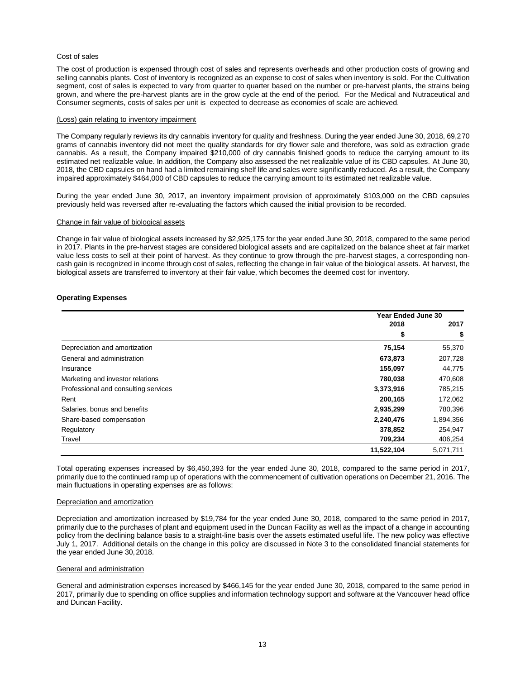# Cost of sales

The cost of production is expensed through cost of sales and represents overheads and other production costs of growing and selling cannabis plants. Cost of inventory is recognized as an expense to cost of sales when inventory is sold. For the Cultivation segment, cost of sales is expected to vary from quarter to quarter based on the number or pre-harvest plants, the strains being grown, and where the pre-harvest plants are in the grow cycle at the end of the period. For the Medical and Nutraceutical and Consumer segments, costs of sales per unit is expected to decrease as economies of scale are achieved.

#### (Loss) gain relating to inventory impairment

The Company regularly reviews its dry cannabis inventory for quality and freshness. During the year ended June 30, 2018, 69,270 grams of cannabis inventory did not meet the quality standards for dry flower sale and therefore, was sold as extraction grade cannabis. As a result, the Company impaired \$210,000 of dry cannabis finished goods to reduce the carrying amount to its estimated net realizable value. In addition, the Company also assessed the net realizable value of its CBD capsules. At June 30, 2018, the CBD capsules on hand had a limited remaining shelf life and sales were significantly reduced. As a result, the Company impaired approximately \$464,000 of CBD capsules to reduce the carrying amount to its estimated net realizable value.

During the year ended June 30, 2017, an inventory impairment provision of approximately \$103,000 on the CBD capsules previously held was reversed after re-evaluating the factors which caused the initial provision to be recorded.

#### Change in fair value of biological assets

Change in fair value of biological assets increased by \$2,925,175 for the year ended June 30, 2018, compared to the same period in 2017. Plants in the pre-harvest stages are considered biological assets and are capitalized on the balance sheet at fair market value less costs to sell at their point of harvest. As they continue to grow through the pre-harvest stages, a corresponding noncash gain is recognized in income through cost of sales, reflecting the change in fair value of the biological assets. At harvest, the biological assets are transferred to inventory at their fair value, which becomes the deemed cost for inventory.

# **Operating Expenses**

|                                      | <b>Year Ended June 30</b> |           |
|--------------------------------------|---------------------------|-----------|
|                                      | 2018                      | 2017      |
|                                      | \$                        |           |
| Depreciation and amortization        | 75,154                    | 55,370    |
| General and administration           | 673,873                   | 207,728   |
| Insurance                            | 155,097                   | 44,775    |
| Marketing and investor relations     | 780,038                   | 470,608   |
| Professional and consulting services | 3,373,916                 | 785,215   |
| Rent                                 | 200,165                   | 172,062   |
| Salaries, bonus and benefits         | 2,935,299                 | 780,396   |
| Share-based compensation             | 2,240,476                 | 1,894,356 |
| Regulatory                           | 378,852                   | 254,947   |
| Travel                               | 709,234                   | 406,254   |
|                                      | 11,522,104                | 5.071.711 |

Total operating expenses increased by \$6,450,393 for the year ended June 30, 2018, compared to the same period in 2017, primarily due to the continued ramp up of operations with the commencement of cultivation operations on December 21, 2016. The main fluctuations in operating expenses are as follows:

#### Depreciation and amortization

Depreciation and amortization increased by \$19,784 for the year ended June 30, 2018, compared to the same period in 2017, primarily due to the purchases of plant and equipment used in the Duncan Facility as well as the impact of a change in accounting policy from the declining balance basis to a straight-line basis over the assets estimated useful life. The new policy was effective July 1, 2017. Additional details on the change in this policy are discussed in Note 3 to the consolidated financial statements for the year ended June 30,2018.

# General and administration

General and administration expenses increased by \$466,145 for the year ended June 30, 2018, compared to the same period in 2017, primarily due to spending on office supplies and information technology support and software at the Vancouver head office and Duncan Facility.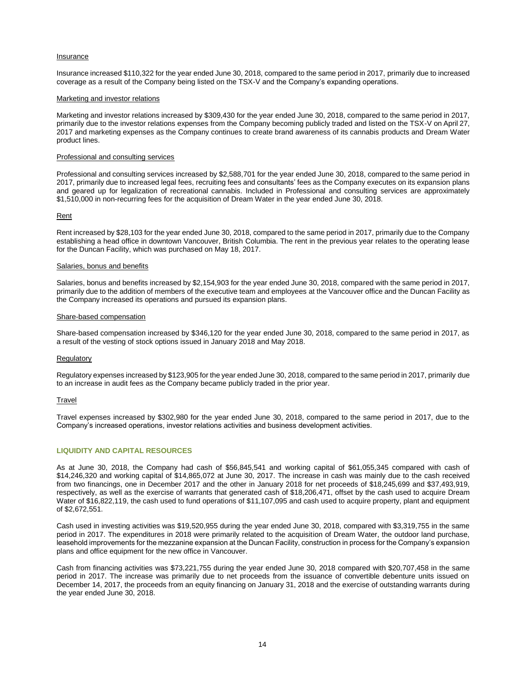# Insurance

Insurance increased \$110,322 for the year ended June 30, 2018, compared to the same period in 2017, primarily due to increased coverage as a result of the Company being listed on the TSX-V and the Company's expanding operations.

#### Marketing and investor relations

Marketing and investor relations increased by \$309,430 for the year ended June 30, 2018, compared to the same period in 2017, primarily due to the investor relations expenses from the Company becoming publicly traded and listed on the TSX-V on April 27, 2017 and marketing expenses as the Company continues to create brand awareness of its cannabis products and Dream Water product lines.

#### Professional and consulting services

Professional and consulting services increased by \$2,588,701 for the year ended June 30, 2018, compared to the same period in 2017, primarily due to increased legal fees, recruiting fees and consultants' fees as the Company executes on its expansion plans and geared up for legalization of recreational cannabis. Included in Professional and consulting services are approximately \$1,510,000 in non-recurring fees for the acquisition of Dream Water in the year ended June 30, 2018.

# **Rent**

Rent increased by \$28,103 for the year ended June 30, 2018, compared to the same period in 2017, primarily due to the Company establishing a head office in downtown Vancouver, British Columbia. The rent in the previous year relates to the operating lease for the Duncan Facility, which was purchased on May 18, 2017.

#### Salaries, bonus and benefits

Salaries, bonus and benefits increased by \$2,154,903 for the year ended June 30, 2018, compared with the same period in 2017, primarily due to the addition of members of the executive team and employees at the Vancouver office and the Duncan Facility as the Company increased its operations and pursued its expansion plans.

#### Share-based compensation

Share-based compensation increased by \$346,120 for the year ended June 30, 2018, compared to the same period in 2017, as a result of the vesting of stock options issued in January 2018 and May 2018.

# **Regulatory**

Regulatory expenses increased by \$123,905 for the year ended June 30, 2018, compared to the same period in 2017, primarily due to an increase in audit fees as the Company became publicly traded in the prior year.

# **Travel**

Travel expenses increased by \$302,980 for the year ended June 30, 2018, compared to the same period in 2017, due to the Company's increased operations, investor relations activities and business development activities.

# **LIQUIDITY AND CAPITAL RESOURCES**

As at June 30, 2018, the Company had cash of \$56,845,541 and working capital of \$61,055,345 compared with cash of \$14,246,320 and working capital of \$14,865,072 at June 30, 2017. The increase in cash was mainly due to the cash received from two financings, one in December 2017 and the other in January 2018 for net proceeds of \$18,245,699 and \$37,493,919, respectively, as well as the exercise of warrants that generated cash of \$18,206,471, offset by the cash used to acquire Dream Water of \$16,822,119, the cash used to fund operations of \$11,107,095 and cash used to acquire property, plant and equipment of \$2,672,551.

Cash used in investing activities was \$19,520,955 during the year ended June 30, 2018, compared with \$3,319,755 in the same period in 2017. The expenditures in 2018 were primarily related to the acquisition of Dream Water, the outdoor land purchase, leasehold improvements for the mezzanine expansion at the Duncan Facility, construction in process for the Company's expansion plans and office equipment for the new office in Vancouver.

Cash from financing activities was \$73,221,755 during the year ended June 30, 2018 compared with \$20,707,458 in the same period in 2017. The increase was primarily due to net proceeds from the issuance of convertible debenture units issued on December 14, 2017, the proceeds from an equity financing on January 31, 2018 and the exercise of outstanding warrants during the year ended June 30, 2018.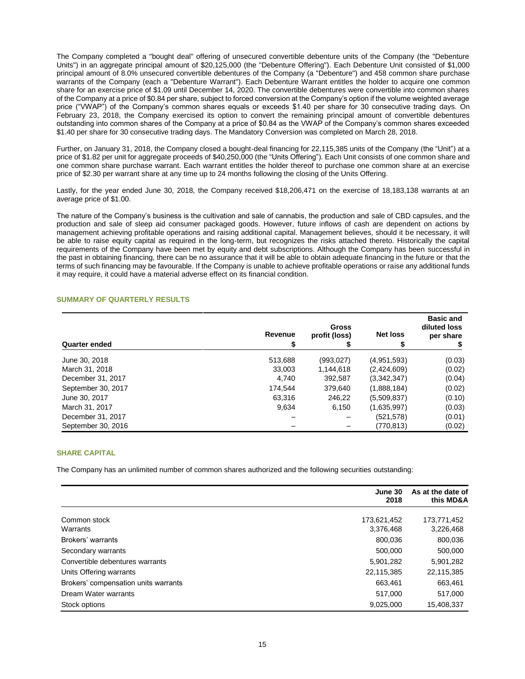The Company completed a "bought deal" offering of unsecured convertible debenture units of the Company (the "Debenture Units") in an aggregate principal amount of \$20,125,000 (the "Debenture Offering"). Each Debenture Unit consisted of \$1,000 principal amount of 8.0% unsecured convertible debentures of the Company (a "Debenture") and 458 common share purchase warrants of the Company (each a "Debenture Warrant"). Each Debenture Warrant entitles the holder to acquire one common share for an exercise price of \$1.09 until December 14, 2020. The convertible debentures were convertible into common shares of the Company at a price of \$0.84 per share, subject to forced conversion at the Company's option if the volume weighted average price ("VWAP") of the Company's common shares equals or exceeds \$1.40 per share for 30 consecutive trading days. On February 23, 2018, the Company exercised its option to convert the remaining principal amount of convertible debentures outstanding into common shares of the Company at a price of \$0.84 as the VWAP of the Company's common shares exceeded \$1.40 per share for 30 consecutive trading days. The Mandatory Conversion was completed on March 28, 2018.

Further, on January 31, 2018, the Company closed a bought-deal financing for 22,115,385 units of the Company (the "Unit") at a price of \$1.82 per unit for aggregate proceeds of \$40,250,000 (the "Units Offering"). Each Unit consists of one common share and one common share purchase warrant. Each warrant entitles the holder thereof to purchase one common share at an exercise price of \$2.30 per warrant share at any time up to 24 months following the closing of the Units Offering.

Lastly, for the year ended June 30, 2018, the Company received \$18,206,471 on the exercise of 18,183,138 warrants at an average price of \$1.00.

The nature of the Company's business is the cultivation and sale of cannabis, the production and sale of CBD capsules, and the production and sale of sleep aid consumer packaged goods. However, future inflows of cash are dependent on actions by management achieving profitable operations and raising additional capital. Management believes, should it be necessary, it will be able to raise equity capital as required in the long-term, but recognizes the risks attached thereto. Historically the capital requirements of the Company have been met by equity and debt subscriptions. Although the Company has been successful in the past in obtaining financing, there can be no assurance that it will be able to obtain adequate financing in the future or that the terms of such financing may be favourable. If the Company is unable to achieve profitable operations or raise any additional funds it may require, it could have a material adverse effect on its financial condition.

# **SUMMARY OF QUARTERLY RESULTS**

| <b>Quarter ended</b> | Revenue | <b>Gross</b><br>profit (loss) | <b>Net loss</b> | <b>Basic and</b><br>diluted loss<br>per share |
|----------------------|---------|-------------------------------|-----------------|-----------------------------------------------|
| June 30, 2018        | 513,688 | (993, 027)                    | (4,951,593)     | (0.03)                                        |
| March 31, 2018       | 33.003  | 1.144.618                     | (2,424,609)     | (0.02)                                        |
| December 31, 2017    | 4.740   | 392,587                       | (3,342,347)     | (0.04)                                        |
| September 30, 2017   | 174.544 | 379,640                       | (1,888,184)     | (0.02)                                        |
| June 30, 2017        | 63.316  | 246,22                        | (5,509,837)     | (0.10)                                        |
| March 31, 2017       | 9,634   | 6,150                         | (1,635,997)     | (0.03)                                        |
| December 31, 2017    |         |                               | (521, 578)      | (0.01)                                        |
| September 30, 2016   |         |                               | (770,813)       | (0.02)                                        |

# **SHARE CAPITAL**

The Company has an unlimited number of common shares authorized and the following securities outstanding:

|                                      | June 30<br>2018 | As at the date of<br>this MD&A |
|--------------------------------------|-----------------|--------------------------------|
| Common stock                         | 173,621,452     | 173,771,452                    |
| Warrants                             | 3,376,468       | 3,226,468                      |
| Brokers' warrants                    | 800,036         | 800,036                        |
| Secondary warrants                   | 500,000         | 500,000                        |
| Convertible debentures warrants      | 5,901,282       | 5,901,282                      |
| Units Offering warrants              | 22,115,385      | 22,115,385                     |
| Brokers' compensation units warrants | 663,461         | 663,461                        |
| Dream Water warrants                 | 517,000         | 517,000                        |
| Stock options                        | 9,025,000       | 15,408,337                     |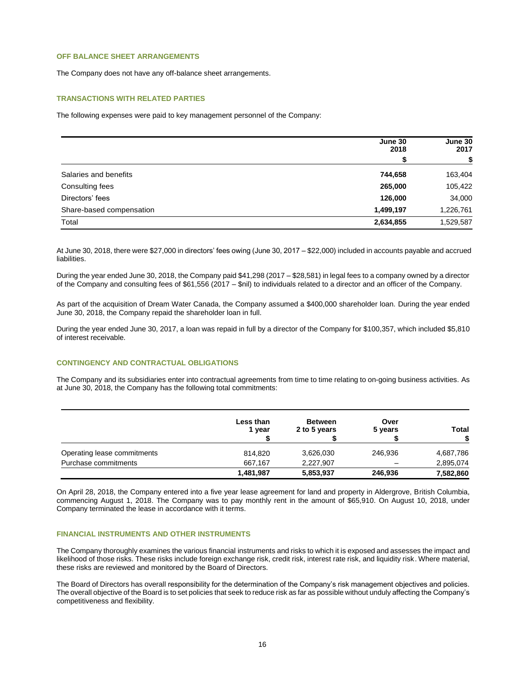# **OFF BALANCE SHEET ARRANGEMENTS**

The Company does not have any off-balance sheet arrangements.

# **TRANSACTIONS WITH RELATED PARTIES**

The following expenses were paid to key management personnel of the Company:

|                          | June 30<br>2018 | June 30<br>2017 |  |
|--------------------------|-----------------|-----------------|--|
|                          | S               | S               |  |
| Salaries and benefits    | 744,658         | 163,404         |  |
| Consulting fees          | 265,000         | 105,422         |  |
| Directors' fees          | 126,000         | 34,000          |  |
| Share-based compensation | 1,499,197       | 1,226,761       |  |
| Total                    | 2,634,855       | 1,529,587       |  |

At June 30, 2018, there were \$27,000 in directors' fees owing (June 30, 2017 – \$22,000) included in accounts payable and accrued liabilities.

During the year ended June 30, 2018, the Company paid \$41,298 (2017 – \$28,581) in legal fees to a company owned by a director of the Company and consulting fees of \$61,556 (2017 – \$nil) to individuals related to a director and an officer of the Company.

As part of the acquisition of Dream Water Canada, the Company assumed a \$400,000 shareholder loan. During the year ended June 30, 2018, the Company repaid the shareholder loan in full.

During the year ended June 30, 2017, a loan was repaid in full by a director of the Company for \$100,357, which included \$5,810 of interest receivable.

# **CONTINGENCY AND CONTRACTUAL OBLIGATIONS**

The Company and its subsidiaries enter into contractual agreements from time to time relating to on-going business activities. As at June 30, 2018, the Company has the following total commitments:

|                             | Less than<br>1 year | <b>Between</b><br>2 to 5 years | Over<br>5 years | <b>Total</b> |
|-----------------------------|---------------------|--------------------------------|-----------------|--------------|
| Operating lease commitments | 814.820             | 3,626,030                      | 246,936         | 4,687,786    |
| Purchase commitments        | 667.167             | 2,227,907                      | -               | 2,895,074    |
|                             | 1,481,987           | 5,853,937                      | 246,936         | 7,582,860    |

On April 28, 2018, the Company entered into a five year lease agreement for land and property in Aldergrove, British Columbia, commencing August 1, 2018. The Company was to pay monthly rent in the amount of \$65,910. On August 10, 2018, under Company terminated the lease in accordance with it terms.

# **FINANCIAL INSTRUMENTS AND OTHER INSTRUMENTS**

The Company thoroughly examines the various financial instruments and risks to which it is exposed and assesses the impact and likelihood of those risks. These risks include foreign exchange risk, credit risk, interest rate risk, and liquidity risk. Where material, these risks are reviewed and monitored by the Board of Directors.

The Board of Directors has overall responsibility for the determination of the Company's risk management objectives and policies. The overall objective of the Board is to set policies that seek to reduce risk as far as possible without unduly affecting the Company's competitiveness and flexibility.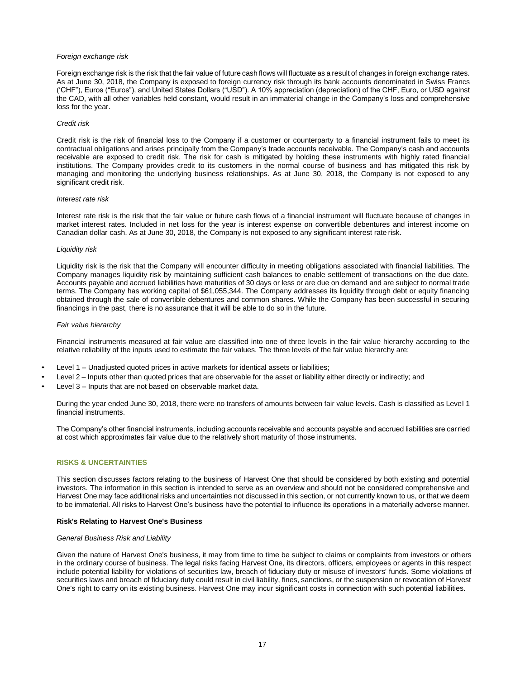# *Foreign exchange risk*

Foreign exchange risk is the risk that the fair value of future cash flows will fluctuate as a result of changes in foreign exchange rates. As at June 30, 2018, the Company is exposed to foreign currency risk through its bank accounts denominated in Swiss Francs ('CHF"), Euros ("Euros"), and United States Dollars ("USD"). A 10% appreciation (depreciation) of the CHF, Euro, or USD against the CAD, with all other variables held constant, would result in an immaterial change in the Company's loss and comprehensive loss for the year.

#### *Credit risk*

Credit risk is the risk of financial loss to the Company if a customer or counterparty to a financial instrument fails to meet its contractual obligations and arises principally from the Company's trade accounts receivable. The Company's cash and accounts receivable are exposed to credit risk. The risk for cash is mitigated by holding these instruments with highly rated financial institutions. The Company provides credit to its customers in the normal course of business and has mitigated this risk by managing and monitoring the underlying business relationships. As at June 30, 2018, the Company is not exposed to any significant credit risk.

#### *Interest rate risk*

Interest rate risk is the risk that the fair value or future cash flows of a financial instrument will fluctuate because of changes in market interest rates. Included in net loss for the year is interest expense on convertible debentures and interest income on Canadian dollar cash. As at June 30, 2018, the Company is not exposed to any significant interest rate risk.

# *Liquidity risk*

Liquidity risk is the risk that the Company will encounter difficulty in meeting obligations associated with financial liabilities. The Company manages liquidity risk by maintaining sufficient cash balances to enable settlement of transactions on the due date. Accounts payable and accrued liabilities have maturities of 30 days or less or are due on demand and are subject to normal trade terms. The Company has working capital of \$61,055,344. The Company addresses its liquidity through debt or equity financing obtained through the sale of convertible debentures and common shares. While the Company has been successful in securing financings in the past, there is no assurance that it will be able to do so in the future.

#### *Fair value hierarchy*

Financial instruments measured at fair value are classified into one of three levels in the fair value hierarchy according to the relative reliability of the inputs used to estimate the fair values. The three levels of the fair value hierarchy are:

- Level 1 Unadjusted quoted prices in active markets for identical assets or liabilities;
- Level 2 Inputs other than quoted prices that are observable for the asset or liability either directly or indirectly; and
- Level 3 Inputs that are not based on observable market data.

During the year ended June 30, 2018, there were no transfers of amounts between fair value levels. Cash is classified as Level 1 financial instruments.

The Company's other financial instruments, including accounts receivable and accounts payable and accrued liabilities are carried at cost which approximates fair value due to the relatively short maturity of those instruments.

# **RISKS & UNCERTAINTIES**

This section discusses factors relating to the business of Harvest One that should be considered by both existing and potential investors. The information in this section is intended to serve as an overview and should not be considered comprehensive and Harvest One may face additional risks and uncertainties not discussed in this section, or not currently known to us, or that we deem to be immaterial. All risks to Harvest One's business have the potential to influence its operations in a materially adverse manner.

# **Risk's Relating to Harvest One's Business**

#### *General Business Risk and Liability*

Given the nature of Harvest One's business, it may from time to time be subject to claims or complaints from investors or others in the ordinary course of business. The legal risks facing Harvest One, its directors, officers, employees or agents in this respect include potential liability for violations of securities law, breach of fiduciary duty or misuse of investors' funds. Some violations of securities laws and breach of fiduciary duty could result in civil liability, fines, sanctions, or the suspension or revocation of Harvest One's right to carry on its existing business. Harvest One may incur significant costs in connection with such potential liabilities.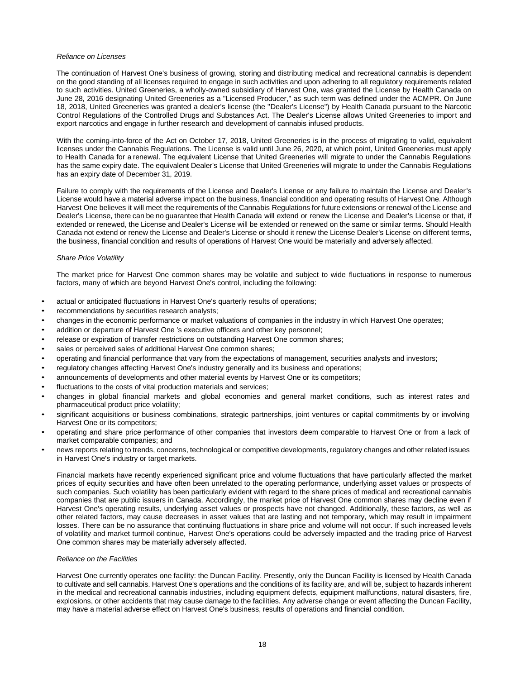# *Reliance on Licenses*

The continuation of Harvest One's business of growing, storing and distributing medical and recreational cannabis is dependent on the good standing of all licenses required to engage in such activities and upon adhering to all regulatory requirements related to such activities. United Greeneries, a wholly-owned subsidiary of Harvest One, was granted the License by Health Canada on June 28, 2016 designating United Greeneries as a "Licensed Producer," as such term was defined under the ACMPR. On June 18, 2018, United Greeneries was granted a dealer's license (the "Dealer's License") by Health Canada pursuant to the Narcotic Control Regulations of the Controlled Drugs and Substances Act. The Dealer's License allows United Greeneries to import and export narcotics and engage in further research and development of cannabis infused products.

With the coming-into-force of the Act on October 17, 2018, United Greeneries is in the process of migrating to valid, equivalent licenses under the Cannabis Regulations. The License is valid until June 26, 2020, at which point, United Greeneries must apply to Health Canada for a renewal. The equivalent License that United Greeneries will migrate to under the Cannabis Regulations has the same expiry date. The equivalent Dealer's License that United Greeneries will migrate to under the Cannabis Regulations has an expiry date of December 31, 2019.

Failure to comply with the requirements of the License and Dealer's License or any failure to maintain the License and Dealer's License would have a material adverse impact on the business, financial condition and operating results of Harvest One. Although Harvest One believes it will meet the requirements of the Cannabis Regulations for future extensions or renewal of the License and Dealer's License, there can be no guarantee that Health Canada will extend or renew the License and Dealer's License or that, if extended or renewed, the License and Dealer's License will be extended or renewed on the same or similar terms. Should Health Canada not extend or renew the License and Dealer's License or should it renew the License Dealer's License on different terms, the business, financial condition and results of operations of Harvest One would be materially and adversely affected.

# *Share Price Volatility*

The market price for Harvest One common shares may be volatile and subject to wide fluctuations in response to numerous factors, many of which are beyond Harvest One's control, including the following:

- actual or anticipated fluctuations in Harvest One's quarterly results of operations;
- recommendations by securities research analysts;
- changes in the economic performance or market valuations of companies in the industry in which Harvest One operates;
- addition or departure of Harvest One 's executive officers and other key personnel;
- release or expiration of transfer restrictions on outstanding Harvest One common shares;
- sales or perceived sales of additional Harvest One common shares;
- operating and financial performance that vary from the expectations of management, securities analysts and investors;
- regulatory changes affecting Harvest One's industry generally and its business and operations;
- announcements of developments and other material events by Harvest One or its competitors;
- fluctuations to the costs of vital production materials and services;
- changes in global financial markets and global economies and general market conditions, such as interest rates and pharmaceutical product price volatility;
- significant acquisitions or business combinations, strategic partnerships, joint ventures or capital commitments by or involving Harvest One or its competitors;
- operating and share price performance of other companies that investors deem comparable to Harvest One or from a lack of market comparable companies; and
- news reports relating to trends, concerns, technological or competitive developments, regulatory changes and other related issues in Harvest One's industry or target markets.

Financial markets have recently experienced significant price and volume fluctuations that have particularly affected the market prices of equity securities and have often been unrelated to the operating performance, underlying asset values or prospects of such companies. Such volatility has been particularly evident with regard to the share prices of medical and recreational cannabis companies that are public issuers in Canada. Accordingly, the market price of Harvest One common shares may decline even if Harvest One's operating results, underlying asset values or prospects have not changed. Additionally, these factors, as well as other related factors, may cause decreases in asset values that are lasting and not temporary, which may result in impairment losses. There can be no assurance that continuing fluctuations in share price and volume will not occur. If such increased levels of volatility and market turmoil continue, Harvest One's operations could be adversely impacted and the trading price of Harvest One common shares may be materially adversely affected.

# *Reliance on the Facilities*

Harvest One currently operates one facility: the Duncan Facility. Presently, only the Duncan Facility is licensed by Health Canada to cultivate and sell cannabis. Harvest One's operations and the conditions of its facility are, and will be, subject to hazards inherent in the medical and recreational cannabis industries, including equipment defects, equipment malfunctions, natural disasters, fire, explosions, or other accidents that may cause damage to the facilities. Any adverse change or event affecting the Duncan Facility, may have a material adverse effect on Harvest One's business, results of operations and financial condition.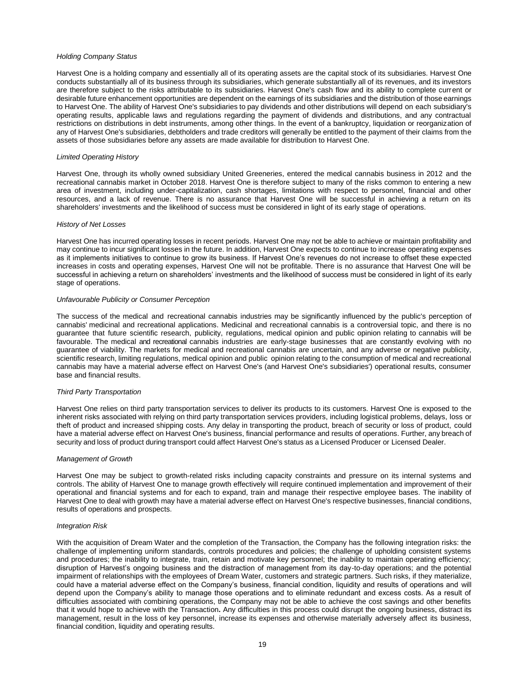#### *Holding Company Status*

Harvest One is a holding company and essentially all of its operating assets are the capital stock of its subsidiaries. Harvest One conducts substantially all of its business through its subsidiaries, which generate substantially all of its revenues, and its investors are therefore subject to the risks attributable to its subsidiaries. Harvest One's cash flow and its ability to complete current or desirable future enhancement opportunities are dependent on the earnings of its subsidiaries and the distribution of those earnings to Harvest One. The ability of Harvest One's subsidiaries to pay dividends and other distributions will depend on each subsidiary's operating results, applicable laws and regulations regarding the payment of dividends and distributions, and any contractual restrictions on distributions in debt instruments, among other things. In the event of a bankruptcy, liquidation or reorganization of any of Harvest One's subsidiaries, debtholders and trade creditors will generally be entitled to the payment of their claims from the assets of those subsidiaries before any assets are made available for distribution to Harvest One.

#### *Limited Operating History*

Harvest One, through its wholly owned subsidiary United Greeneries, entered the medical cannabis business in 2012 and the recreational cannabis market in October 2018. Harvest One is therefore subject to many of the risks common to entering a new area of investment, including under-capitalization, cash shortages, limitations with respect to personnel, financial and other resources, and a lack of revenue. There is no assurance that Harvest One will be successful in achieving a return on its shareholders' investments and the likelihood of success must be considered in light of its early stage of operations.

#### *History of Net Losses*

Harvest One has incurred operating losses in recent periods. Harvest One may not be able to achieve or maintain profitability and may continue to incur significant losses in the future. In addition, Harvest One expects to continue to increase operating expenses as it implements initiatives to continue to grow its business. If Harvest One's revenues do not increase to offset these expected increases in costs and operating expenses, Harvest One will not be profitable. There is no assurance that Harvest One will be successful in achieving a return on shareholders' investments and the likelihood of success must be considered in light of its early stage of operations.

#### *Unfavourable Publicity or Consumer Perception*

The success of the medical and recreational cannabis industries may be significantly influenced by the public's perception of cannabis' medicinal and recreational applications. Medicinal and recreational cannabis is a controversial topic, and there is no guarantee that future scientific research, publicity, regulations, medical opinion and public opinion relating to cannabis will be favourable. The medical and recreational cannabis industries are early-stage businesses that are constantly evolving with no guarantee of viability. The markets for medical and recreational cannabis are uncertain, and any adverse or negative publicity, scientific research, limiting regulations, medical opinion and public opinion relating to the consumption of medical and recreational cannabis may have a material adverse effect on Harvest One's (and Harvest One's subsidiaries') operational results, consumer base and financial results.

# *Third Party Transportation*

Harvest One relies on third party transportation services to deliver its products to its customers. Harvest One is exposed to the inherent risks associated with relying on third party transportation services providers, including logistical problems, delays, loss or theft of product and increased shipping costs. Any delay in transporting the product, breach of security or loss of product, could have a material adverse effect on Harvest One's business, financial performance and results of operations. Further, any breach of security and loss of product during transport could affect Harvest One's status as a Licensed Producer or Licensed Dealer.

#### *Management of Growth*

Harvest One may be subject to growth-related risks including capacity constraints and pressure on its internal systems and controls. The ability of Harvest One to manage growth effectively will require continued implementation and improvement of their operational and financial systems and for each to expand, train and manage their respective employee bases. The inability of Harvest One to deal with growth may have a material adverse effect on Harvest One's respective businesses, financial conditions, results of operations and prospects.

#### *Integration Risk*

With the acquisition of Dream Water and the completion of the Transaction, the Company has the following integration risks: the challenge of implementing uniform standards, controls procedures and policies; the challenge of upholding consistent systems and procedures; the inability to integrate, train, retain and motivate key personnel; the inability to maintain operating efficiency; disruption of Harvest's ongoing business and the distraction of management from its day-to-day operations; and the potential impairment of relationships with the employees of Dream Water, customers and strategic partners. Such risks, if they materialize, could have a material adverse effect on the Company's business, financial condition, liquidity and results of operations and will depend upon the Company's ability to manage those operations and to eliminate redundant and excess costs. As a result of difficulties associated with combining operations, the Company may not be able to achieve the cost savings and other benefits that it would hope to achieve with the Transaction**.** Any difficulties in this process could disrupt the ongoing business, distract its management, result in the loss of key personnel, increase its expenses and otherwise materially adversely affect its business, financial condition, liquidity and operating results.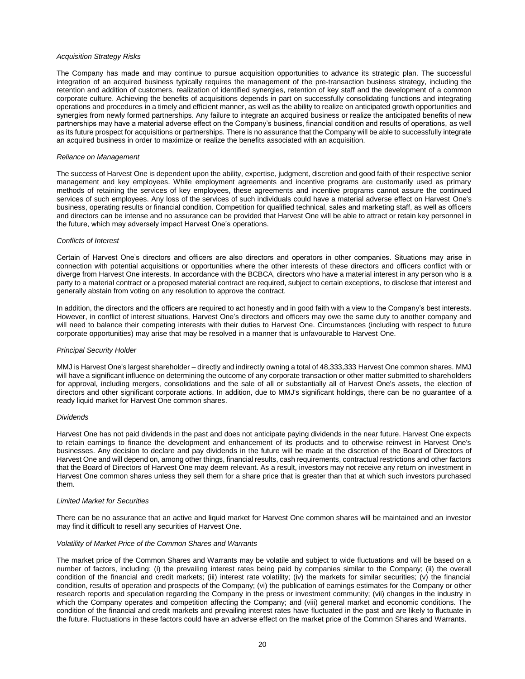#### *Acquisition Strategy Risks*

The Company has made and may continue to pursue acquisition opportunities to advance its strategic plan. The successful integration of an acquired business typically requires the management of the pre-transaction business strategy, including the retention and addition of customers, realization of identified synergies, retention of key staff and the development of a common corporate culture. Achieving the benefits of acquisitions depends in part on successfully consolidating functions and integrating operations and procedures in a timely and efficient manner, as well as the ability to realize on anticipated growth opportunities and synergies from newly formed partnerships. Any failure to integrate an acquired business or realize the anticipated benefits of new partnerships may have a material adverse effect on the Company's business, financial condition and results of operations, as well as its future prospect for acquisitions or partnerships. There is no assurance that the Company will be able to successfully integrate an acquired business in order to maximize or realize the benefits associated with an acquisition.

#### *Reliance on Management*

The success of Harvest One is dependent upon the ability, expertise, judgment, discretion and good faith of their respective senior management and key employees. While employment agreements and incentive programs are customarily used as primary methods of retaining the services of key employees, these agreements and incentive programs cannot assure the continued services of such employees. Any loss of the services of such individuals could have a material adverse effect on Harvest One's business, operating results or financial condition. Competition for qualified technical, sales and marketing staff, as well as officers and directors can be intense and no assurance can be provided that Harvest One will be able to attract or retain key personnel in the future, which may adversely impact Harvest One's operations.

#### *Conflicts of Interest*

Certain of Harvest One's directors and officers are also directors and operators in other companies. Situations may arise in connection with potential acquisitions or opportunities where the other interests of these directors and officers conflict with or diverge from Harvest One interests. In accordance with the BCBCA, directors who have a material interest in any person who is a party to a material contract or a proposed material contract are required, subject to certain exceptions, to disclose that interest and generally abstain from voting on any resolution to approve the contract.

In addition, the directors and the officers are required to act honestly and in good faith with a view to the Company's best interests. However, in conflict of interest situations, Harvest One's directors and officers may owe the same duty to another company and will need to balance their competing interests with their duties to Harvest One. Circumstances (including with respect to future corporate opportunities) may arise that may be resolved in a manner that is unfavourable to Harvest One.

#### *Principal Security Holder*

MMJ is Harvest One's largest shareholder – directly and indirectly owning a total of 48,333,333 Harvest One common shares. MMJ will have a significant influence on determining the outcome of any corporate transaction or other matter submitted to shareholders for approval, including mergers, consolidations and the sale of all or substantially all of Harvest One's assets, the election of directors and other significant corporate actions. In addition, due to MMJ's significant holdings, there can be no guarantee of a ready liquid market for Harvest One common shares.

#### *Dividends*

Harvest One has not paid dividends in the past and does not anticipate paying dividends in the near future. Harvest One expects to retain earnings to finance the development and enhancement of its products and to otherwise reinvest in Harvest One's businesses. Any decision to declare and pay dividends in the future will be made at the discretion of the Board of Directors of Harvest One and will depend on, among other things, financial results, cash requirements, contractual restrictions and other factors that the Board of Directors of Harvest One may deem relevant. As a result, investors may not receive any return on investment in Harvest One common shares unless they sell them for a share price that is greater than that at which such investors purchased them.

#### *Limited Market for Securities*

There can be no assurance that an active and liquid market for Harvest One common shares will be maintained and an investor may find it difficult to resell any securities of Harvest One.

#### *Volatility of Market Price of the Common Shares and Warrants*

The market price of the Common Shares and Warrants may be volatile and subject to wide fluctuations and will be based on a number of factors, including: (i) the prevailing interest rates being paid by companies similar to the Company; (ii) the overall condition of the financial and credit markets; (iii) interest rate volatility; (iv) the markets for similar securities; (v) the financial condition, results of operation and prospects of the Company; (vi) the publication of earnings estimates for the Company or other research reports and speculation regarding the Company in the press or investment community; (vii) changes in the industry in which the Company operates and competition affecting the Company; and (viii) general market and economic conditions. The condition of the financial and credit markets and prevailing interest rates have fluctuated in the past and are likely to fluctuate in the future. Fluctuations in these factors could have an adverse effect on the market price of the Common Shares and Warrants.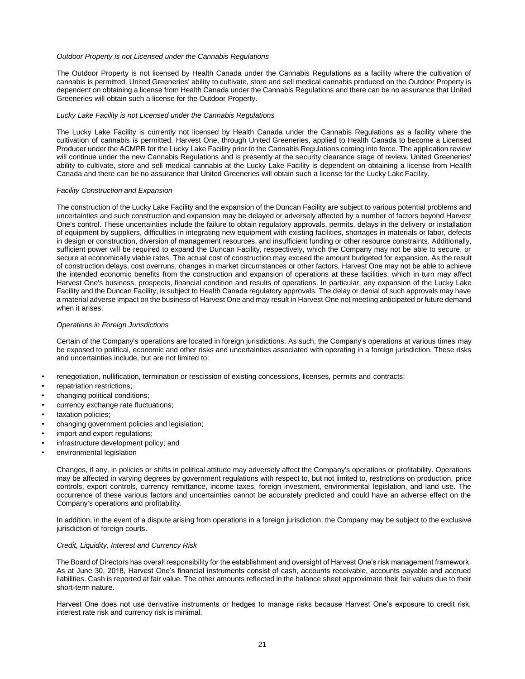#### *Outdoor Property is not Licensed under the Cannabis Regulations*

The Outdoor Property is not licensed by Health Canada under the Cannabis Regulations as a facility where the cultivation of cannabis is permitted. United Greeneries' ability to cultivate, store and sell medical cannabis produced on the Outdoor Property is dependent on obtaining a license from Health Canada under the Cannabis Regulations and there can be no assurance that United Greeneries will obtain such a license for the Outdoor Property.

#### *Lucky Lake Facility is not Licensed under the Cannabis Regulations*

The Lucky Lake Facility is currently not licensed by Health Canada under the Cannabis Regulations as a facility where the cultivation of cannabis is permitted. Harvest One, through United Greeneries, applied to Health Canada to become a Licensed Producer under the ACMPR for the Lucky Lake Facility prior to the Cannabis Regulations coming into force. The application review will continue under the new Cannabis Regulations and is presently at the security clearance stage of review. United Greeneries' ability to cultivate, store and sell medical cannabis at the Lucky Lake Facility is dependent on obtaining a license from Health Canada and there can be no assurance that United Greeneries will obtain such a license for the Lucky Lake Facility.

#### *Facility Construction and Expansion*

The construction of the Lucky Lake Facility and the expansion of the Duncan Facility are subject to various potential problems and uncertainties and such construction and expansion may be delayed or adversely affected by a number of factors beyond Harvest One's control. These uncertainties include the failure to obtain regulatory approvals, permits, delays in the delivery or installation of equipment by suppliers, difficulties in integrating new equipment with existing facilities, shortages in materials or labor, defects in design or construction, diversion of management resources, and insufficient funding or other resource constraints. Additionally, sufficient power will be required to expand the Duncan Facility, respectively, which the Company may not be able to secure, or secure at economically viable rates. The actual cost of construction may exceed the amount budgeted for expansion. As the result of construction delays, cost overruns, changes in market circumstances or other factors, Harvest One may not be able to achieve the intended economic benefits from the construction and expansion of operations at these facilities, which in turn may affect Harvest One's business, prospects, financial condition and results of operations. In particular, any expansion of the Lucky Lake Facility and the Duncan Facility, is subject to Health Canada regulatory approvals. The delay or denial of such approvals may have a material adverse impact on the business of Harvest One and may result in Harvest One not meeting anticipated or future demand when it arises.

# *Operations in Foreign Jurisdictions*

Certain of the Company's operations are located in foreign jurisdictions. As such, the Company's operations at various times may be exposed to political, economic and other risks and uncertainties associated with operating in a foreign jurisdiction. These risks and uncertainties include, but are not limited to:

- renegotiation, nullification, termination or rescission of existing concessions, licenses, permits and contracts;
- repatriation restrictions;
- changing political conditions;
- currency exchange rate fluctuations;
- taxation policies;
- changing government policies and legislation;
- import and export regulations;
- infrastructure development policy; and
- environmental legislation

Changes, if any, in policies or shifts in political attitude may adversely affect the Company's operations or profitability. Operations may be affected in varying degrees by government regulations with respect to, but not limited to, restrictions on production, price controls, export controls, currency remittance, income taxes, foreign investment, environmental legislation, and land use. The occurrence of these various factors and uncertainties cannot be accurately predicted and could have an adverse effect on the Company's operations and profitability.

In addition, in the event of a dispute arising from operations in a foreign jurisdiction, the Company may be subject to the exclusive jurisdiction of foreign courts.

#### *Credit, Liquidity, Interest and Currency Risk*

The Board of Directors has overall responsibility for the establishment and oversight of Harvest One's risk management framework. As at June 30, 2018, Harvest One's financial instruments consist of cash, accounts receivable, accounts payable and accrued liabilities. Cash is reported at fair value. The other amounts reflected in the balance sheet approximate their fair values due to their short-term nature.

Harvest One does not use derivative instruments or hedges to manage risks because Harvest One's exposure to credit risk, interest rate risk and currency risk is minimal.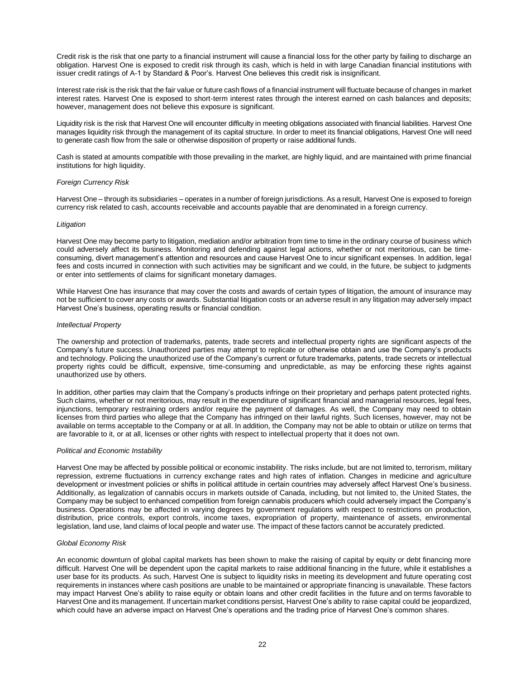Credit risk is the risk that one party to a financial instrument will cause a financial loss for the other party by failing to discharge an obligation. Harvest One is exposed to credit risk through its cash, which is held in with large Canadian financial institutions with issuer credit ratings of A-1 by Standard & Poor's. Harvest One believes this credit risk is insignificant.

Interest rate risk is the risk that the fair value or future cash flows of a financial instrument will fluctuate because of changes in market interest rates. Harvest One is exposed to short-term interest rates through the interest earned on cash balances and deposits; however, management does not believe this exposure is significant.

Liquidity risk is the risk that Harvest One will encounter difficulty in meeting obligations associated with financial liabilities. Harvest One manages liquidity risk through the management of its capital structure. In order to meet its financial obligations, Harvest One will need to generate cash flow from the sale or otherwise disposition of property or raise additional funds.

Cash is stated at amounts compatible with those prevailing in the market, are highly liquid, and are maintained with prime financial institutions for high liquidity.

# *Foreign Currency Risk*

Harvest One – through its subsidiaries – operates in a number of foreign jurisdictions. As a result, Harvest One is exposed to foreign currency risk related to cash, accounts receivable and accounts payable that are denominated in a foreign currency.

#### *Litigation*

Harvest One may become party to litigation, mediation and/or arbitration from time to time in the ordinary course of business which could adversely affect its business. Monitoring and defending against legal actions, whether or not meritorious, can be timeconsuming, divert management's attention and resources and cause Harvest One to incur significant expenses. In addition, legal fees and costs incurred in connection with such activities may be significant and we could, in the future, be subject to judgments or enter into settlements of claims for significant monetary damages.

While Harvest One has insurance that may cover the costs and awards of certain types of litigation, the amount of insurance may not be sufficient to cover any costs or awards. Substantial litigation costs or an adverse result in any litigation may adversely impact Harvest One's business, operating results or financial condition.

# *Intellectual Property*

The ownership and protection of trademarks, patents, trade secrets and intellectual property rights are significant aspects of the Company's future success. Unauthorized parties may attempt to replicate or otherwise obtain and use the Company's products and technology. Policing the unauthorized use of the Company's current or future trademarks, patents, trade secrets or intellectual property rights could be difficult, expensive, time-consuming and unpredictable, as may be enforcing these rights against unauthorized use by others.

In addition, other parties may claim that the Company's products infringe on their proprietary and perhaps patent protected rights. Such claims, whether or not meritorious, may result in the expenditure of significant financial and managerial resources, legal fees, injunctions, temporary restraining orders and/or require the payment of damages. As well, the Company may need to obtain licenses from third parties who allege that the Company has infringed on their lawful rights. Such licenses, however, may not be available on terms acceptable to the Company or at all. In addition, the Company may not be able to obtain or utilize on terms that are favorable to it, or at all, licenses or other rights with respect to intellectual property that it does not own.

# *Political and Economic Instability*

Harvest One may be affected by possible political or economic instability. The risks include, but are not limited to, terrorism, military repression, extreme fluctuations in currency exchange rates and high rates of inflation. Changes in medicine and agriculture development or investment policies or shifts in political attitude in certain countries may adversely affect Harvest One's business. Additionally, as legalization of cannabis occurs in markets outside of Canada, including, but not limited to, the United States, the Company may be subject to enhanced competition from foreign cannabis producers which could adversely impact the Company's business. Operations may be affected in varying degrees by government regulations with respect to restrictions on production, distribution, price controls, export controls, income taxes, expropriation of property, maintenance of assets, environmental legislation, land use, land claims of local people and water use. The impact of these factors cannot be accurately predicted.

#### *Global Economy Risk*

An economic downturn of global capital markets has been shown to make the raising of capital by equity or debt financing more difficult. Harvest One will be dependent upon the capital markets to raise additional financing in the future, while it establishes a user base for its products. As such, Harvest One is subject to liquidity risks in meeting its development and future operating cost requirements in instances where cash positions are unable to be maintained or appropriate financing is unavailable. These factors may impact Harvest One's ability to raise equity or obtain loans and other credit facilities in the future and on terms favorable to Harvest One and its management. If uncertain market conditions persist, Harvest One's ability to raise capital could be jeopardized, which could have an adverse impact on Harvest One's operations and the trading price of Harvest One's common shares.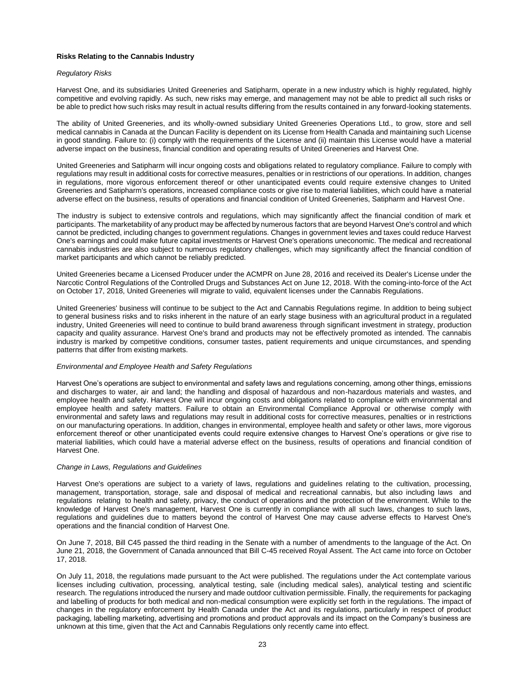# **Risks Relating to the Cannabis Industry**

#### *Regulatory Risks*

Harvest One, and its subsidiaries United Greeneries and Satipharm, operate in a new industry which is highly regulated, highly competitive and evolving rapidly. As such, new risks may emerge, and management may not be able to predict all such risks or be able to predict how such risks may result in actual results differing from the results contained in any forward-looking statements.

The ability of United Greeneries, and its wholly-owned subsidiary United Greeneries Operations Ltd., to grow, store and sell medical cannabis in Canada at the Duncan Facility is dependent on its License from Health Canada and maintaining such License in good standing. Failure to: (i) comply with the requirements of the License and (ii) maintain this License would have a material adverse impact on the business, financial condition and operating results of United Greeneries and Harvest One.

United Greeneries and Satipharm will incur ongoing costs and obligations related to regulatory compliance. Failure to comply with regulations may result in additional costs for corrective measures, penalties or in restrictions of our operations. In addition, changes in regulations, more vigorous enforcement thereof or other unanticipated events could require extensive changes to United Greeneries and Satipharm's operations, increased compliance costs or give rise to material liabilities, which could have a material adverse effect on the business, results of operations and financial condition of United Greeneries, Satipharm and Harvest One.

The industry is subject to extensive controls and regulations, which may significantly affect the financial condition of mark et participants. The marketability of any product may be affected by numerous factors that are beyond Harvest One's control and which cannot be predicted, including changes to government regulations. Changes in government levies and taxes could reduce Harvest One's earnings and could make future capital investments or Harvest One's operations uneconomic. The medical and recreational cannabis industries are also subject to numerous regulatory challenges, which may significantly affect the financial condition of market participants and which cannot be reliably predicted.

United Greeneries became a Licensed Producer under the ACMPR on June 28, 2016 and received its Dealer's License under the Narcotic Control Regulations of the Controlled Drugs and Substances Act on June 12, 2018. With the coming-into-force of the Act on October 17, 2018, United Greeneries will migrate to valid, equivalent licenses under the Cannabis Regulations.

United Greeneries' business will continue to be subject to the Act and Cannabis Regulations regime. In addition to being subject to general business risks and to risks inherent in the nature of an early stage business with an agricultural product in a regulated industry, United Greeneries will need to continue to build brand awareness through significant investment in strategy, production capacity and quality assurance. Harvest One's brand and products may not be effectively promoted as intended. The cannabis industry is marked by competitive conditions, consumer tastes, patient requirements and unique circumstances, and spending patterns that differ from existing markets.

# *Environmental and Employee Health and Safety Regulations*

Harvest One's operations are subject to environmental and safety laws and regulations concerning, among other things, emissions and discharges to water, air and land; the handling and disposal of hazardous and non-hazardous materials and wastes, and employee health and safety. Harvest One will incur ongoing costs and obligations related to compliance with environmental and employee health and safety matters. Failure to obtain an Environmental Compliance Approval or otherwise comply with environmental and safety laws and regulations may result in additional costs for corrective measures, penalties or in restrictions on our manufacturing operations. In addition, changes in environmental, employee health and safety or other laws, more vigorous enforcement thereof or other unanticipated events could require extensive changes to Harvest One's operations or give rise to material liabilities, which could have a material adverse effect on the business, results of operations and financial condition of Harvest One.

#### *Change in Laws, Regulations and Guidelines*

Harvest One's operations are subject to a variety of laws, regulations and guidelines relating to the cultivation, processing, management, transportation, storage, sale and disposal of medical and recreational cannabis, but also including laws and regulations relating to health and safety, privacy, the conduct of operations and the protection of the environment. While to the knowledge of Harvest One's management, Harvest One is currently in compliance with all such laws, changes to such laws, regulations and guidelines due to matters beyond the control of Harvest One may cause adverse effects to Harvest One's operations and the financial condition of Harvest One.

On June 7, 2018, Bill C45 passed the third reading in the Senate with a number of amendments to the language of the Act. On June 21, 2018, the Government of Canada announced that Bill C-45 received Royal Assent. The Act came into force on October 17, 2018.

On July 11, 2018, the regulations made pursuant to the Act were published. The regulations under the Act contemplate various licenses including cultivation, processing, analytical testing, sale (including medical sales), analytical testing and scientific research. The regulations introduced the nursery and made outdoor cultivation permissible. Finally, the requirements for packaging and labelling of products for both medical and non-medical consumption were explicitly set forth in the regulations. The impact of changes in the regulatory enforcement by Health Canada under the Act and its regulations, particularly in respect of product packaging, labelling marketing, advertising and promotions and product approvals and its impact on the Company's business are unknown at this time, given that the Act and Cannabis Regulations only recently came into effect.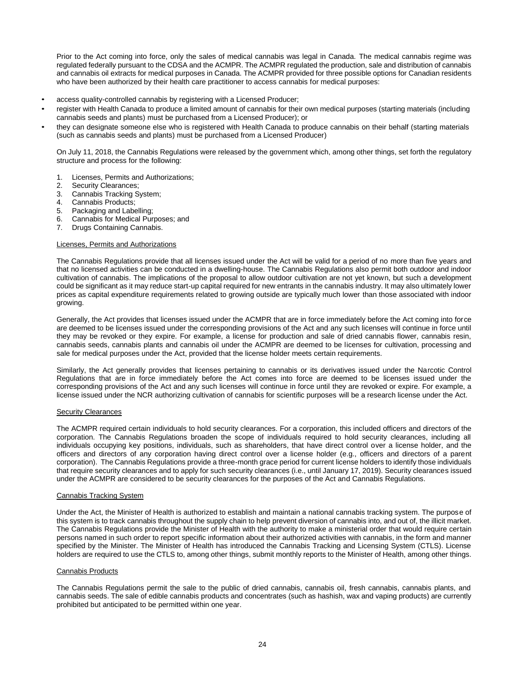Prior to the Act coming into force, only the sales of medical cannabis was legal in Canada. The medical cannabis regime was regulated federally pursuant to the CDSA and the ACMPR. The ACMPR regulated the production, sale and distribution of cannabis and cannabis oil extracts for medical purposes in Canada. The ACMPR provided for three possible options for Canadian residents who have been authorized by their health care practitioner to access cannabis for medical purposes:

- access quality-controlled cannabis by registering with a Licensed Producer;
- register with Health Canada to produce a limited amount of cannabis for their own medical purposes (starting materials (including cannabis seeds and plants) must be purchased from a Licensed Producer); or
- they can designate someone else who is registered with Health Canada to produce cannabis on their behalf (starting materials (such as cannabis seeds and plants) must be purchased from a Licensed Producer)

On July 11, 2018, the Cannabis Regulations were released by the government which, among other things, set forth the regulatory structure and process for the following:

- 1. Licenses, Permits and Authorizations;
- 2. Security Clearances;
- 3. Cannabis Tracking System;
- 4. Cannabis Products;
- 5. Packaging and Labelling;
- 6. Cannabis for Medical Purposes; and
- 7. Drugs Containing Cannabis.

# Licenses, Permits and Authorizations

The Cannabis Regulations provide that all licenses issued under the Act will be valid for a period of no more than five years and that no licensed activities can be conducted in a dwelling-house. The Cannabis Regulations also permit both outdoor and indoor cultivation of cannabis. The implications of the proposal to allow outdoor cultivation are not yet known, but such a development could be significant as it may reduce start-up capital required for new entrants in the cannabis industry. It may also ultimately lower prices as capital expenditure requirements related to growing outside are typically much lower than those associated with indoor growing.

Generally, the Act provides that licenses issued under the ACMPR that are in force immediately before the Act coming into force are deemed to be licenses issued under the corresponding provisions of the Act and any such licenses will continue in force until they may be revoked or they expire. For example, a license for production and sale of dried cannabis flower, cannabis resin, cannabis seeds, cannabis plants and cannabis oil under the ACMPR are deemed to be licenses for cultivation, processing and sale for medical purposes under the Act, provided that the license holder meets certain requirements.

Similarly, the Act generally provides that licenses pertaining to cannabis or its derivatives issued under the Narcotic Control Regulations that are in force immediately before the Act comes into force are deemed to be licenses issued under the corresponding provisions of the Act and any such licenses will continue in force until they are revoked or expire. For example, a license issued under the NCR authorizing cultivation of cannabis for scientific purposes will be a research license under the Act.

#### Security Clearances

The ACMPR required certain individuals to hold security clearances. For a corporation, this included officers and directors of the corporation. The Cannabis Regulations broaden the scope of individuals required to hold security clearances, including all individuals occupying key positions, individuals, such as shareholders, that have direct control over a license holder, and the officers and directors of any corporation having direct control over a license holder (e.g., officers and directors of a parent corporation). The Cannabis Regulations provide a three-month grace period for current license holders to identify those individuals that require security clearances and to apply for such security clearances (i.e., until January 17, 2019). Security clearances issued under the ACMPR are considered to be security clearances for the purposes of the Act and Cannabis Regulations.

# Cannabis Tracking System

Under the Act, the Minister of Health is authorized to establish and maintain a national cannabis tracking system. The purpose of this system is to track cannabis throughout the supply chain to help prevent diversion of cannabis into, and out of, the illicit market. The Cannabis Regulations provide the Minister of Health with the authority to make a ministerial order that would require certain persons named in such order to report specific information about their authorized activities with cannabis, in the form and manner specified by the Minister. The Minister of Health has introduced the Cannabis Tracking and Licensing System (CTLS). License holders are required to use the CTLS to, among other things, submit monthly reports to the Minister of Health, among other things.

# Cannabis Products

The Cannabis Regulations permit the sale to the public of dried cannabis, cannabis oil, fresh cannabis, cannabis plants, and cannabis seeds. The sale of edible cannabis products and concentrates (such as hashish, wax and vaping products) are currently prohibited but anticipated to be permitted within one year.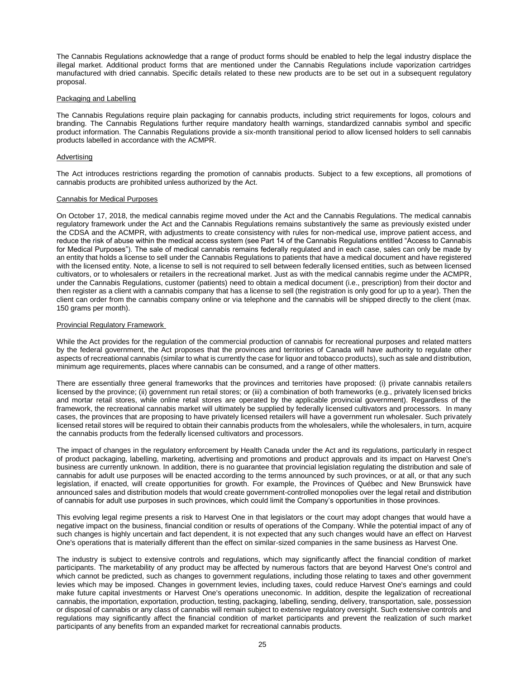The Cannabis Regulations acknowledge that a range of product forms should be enabled to help the legal industry displace the illegal market. Additional product forms that are mentioned under the Cannabis Regulations include vaporization cartridges manufactured with dried cannabis. Specific details related to these new products are to be set out in a subsequent regulatory proposal.

#### Packaging and Labelling

The Cannabis Regulations require plain packaging for cannabis products, including strict requirements for logos, colours and branding. The Cannabis Regulations further require mandatory health warnings, standardized cannabis symbol and specific product information. The Cannabis Regulations provide a six-month transitional period to allow licensed holders to sell cannabis products labelled in accordance with the ACMPR.

# Advertising

The Act introduces restrictions regarding the promotion of cannabis products. Subject to a few exceptions, all promotions of cannabis products are prohibited unless authorized by the Act.

#### Cannabis for Medical Purposes

On October 17, 2018, the medical cannabis regime moved under the Act and the Cannabis Regulations. The medical cannabis regulatory framework under the Act and the Cannabis Regulations remains substantively the same as previously existed under the CDSA and the ACMPR, with adjustments to create consistency with rules for non-medical use, improve patient access, and reduce the risk of abuse within the medical access system (see Part 14 of the Cannabis Regulations entitled "Access to Cannabis for Medical Purposes"). The sale of medical cannabis remains federally regulated and in each case, sales can only be made by an entity that holds a license to sell under the Cannabis Regulations to patients that have a medical document and have registered with the licensed entity. Note, a license to sell is not required to sell between federally licensed entities, such as between licensed cultivators, or to wholesalers or retailers in the recreational market. Just as with the medical cannabis regime under the ACMPR, under the Cannabis Regulations, customer (patients) need to obtain a medical document (i.e., prescription) from their doctor and then register as a client with a cannabis company that has a license to sell (the registration is only good for up to a year). Then the client can order from the cannabis company online or via telephone and the cannabis will be shipped directly to the client (max. 150 grams per month).

#### Provincial Regulatory Framework

While the Act provides for the regulation of the commercial production of cannabis for recreational purposes and related matters by the federal government, the Act proposes that the provinces and territories of Canada will have authority to regulate other aspects of recreational cannabis (similar to what is currently the case for liquor and tobacco products), such as sale and distribution, minimum age requirements, places where cannabis can be consumed, and a range of other matters.

There are essentially three general frameworks that the provinces and territories have proposed: (i) private cannabis retailers licensed by the province; (ii) government run retail stores; or (iii) a combination of both frameworks (e.g., privately licensed bricks and mortar retail stores, while online retail stores are operated by the applicable provincial government). Regardless of the framework, the recreational cannabis market will ultimately be supplied by federally licensed cultivators and processors. In many cases, the provinces that are proposing to have privately licensed retailers will have a government run wholesaler. Such privately licensed retail stores will be required to obtain their cannabis products from the wholesalers, while the wholesalers, in turn, acquire the cannabis products from the federally licensed cultivators and processors.

The impact of changes in the regulatory enforcement by Health Canada under the Act and its regulations, particularly in respect of product packaging, labelling, marketing, advertising and promotions and product approvals and its impact on Harvest One's business are currently unknown. In addition, there is no guarantee that provincial legislation regulating the distribution and sale of cannabis for adult use purposes will be enacted according to the terms announced by such provinces, or at all, or that any such legislation, if enacted, will create opportunities for growth. For example, the Provinces of Québec and New Brunswick have announced sales and distribution models that would create government-controlled monopolies over the legal retail and distribution of cannabis for adult use purposes in such provinces, which could limit the Company's opportunities in those provinces.

This evolving legal regime presents a risk to Harvest One in that legislators or the court may adopt changes that would have a negative impact on the business, financial condition or results of operations of the Company. While the potential impact of any of such changes is highly uncertain and fact dependent, it is not expected that any such changes would have an effect on Harvest One's operations that is materially different than the effect on similar-sized companies in the same business as Harvest One.

The industry is subject to extensive controls and regulations, which may significantly affect the financial condition of market participants. The marketability of any product may be affected by numerous factors that are beyond Harvest One's control and which cannot be predicted, such as changes to government regulations, including those relating to taxes and other government levies which may be imposed. Changes in government levies, including taxes, could reduce Harvest One's earnings and could make future capital investments or Harvest One's operations uneconomic. In addition, despite the legalization of recreational cannabis, the importation, exportation, production, testing, packaging, labelling, sending, delivery, transportation, sale, possession or disposal of cannabis or any class of cannabis will remain subject to extensive regulatory oversight. Such extensive controls and regulations may significantly affect the financial condition of market participants and prevent the realization of such market participants of any benefits from an expanded market for recreational cannabis products.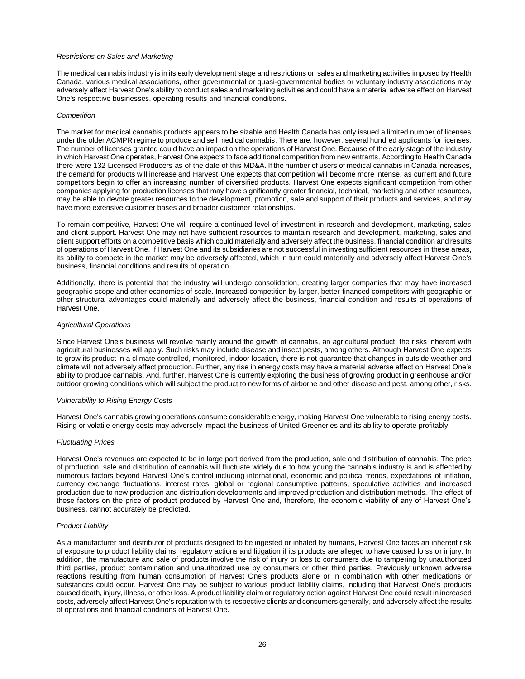# *Restrictions on Sales and Marketing*

The medical cannabis industry is in its early development stage and restrictions on sales and marketing activities imposed by Health Canada, various medical associations, other governmental or quasi-governmental bodies or voluntary industry associations may adversely affect Harvest One's ability to conduct sales and marketing activities and could have a material adverse effect on Harvest One's respective businesses, operating results and financial conditions.

#### *Competition*

The market for medical cannabis products appears to be sizable and Health Canada has only issued a limited number of licenses under the older ACMPR regime to produce and sell medical cannabis. There are, however, several hundred applicants for licenses. The number of licenses granted could have an impact on the operations of Harvest One. Because of the early stage of the industry in which Harvest One operates, Harvest One expects to face additional competition from new entrants. According to Health Canada there were 132 Licensed Producers as of the date of this MD&A. If the number of users of medical cannabis in Canada increases, the demand for products will increase and Harvest One expects that competition will become more intense, as current and future competitors begin to offer an increasing number of diversified products. Harvest One expects significant competition from other companies applying for production licenses that may have significantly greater financial, technical, marketing and other resources, may be able to devote greater resources to the development, promotion, sale and support of their products and services, and may have more extensive customer bases and broader customer relationships.

To remain competitive, Harvest One will require a continued level of investment in research and development, marketing, sales and client support. Harvest One may not have sufficient resources to maintain research and development, marketing, sales and client support efforts on a competitive basis which could materially and adversely affect the business, financial condition and results of operations of Harvest One. If Harvest One and its subsidiaries are not successful in investing sufficient resources in these areas, its ability to compete in the market may be adversely affected, which in turn could materially and adversely affect Harvest One's business, financial conditions and results of operation.

Additionally, there is potential that the industry will undergo consolidation, creating larger companies that may have increased geographic scope and other economies of scale. Increased competition by larger, better-financed competitors with geographic or other structural advantages could materially and adversely affect the business, financial condition and results of operations of Harvest One.

# *Agricultural Operations*

Since Harvest One's business will revolve mainly around the growth of cannabis, an agricultural product, the risks inherent with agricultural businesses will apply. Such risks may include disease and insect pests, among others. Although Harvest One expects to grow its product in a climate controlled, monitored, indoor location, there is not guarantee that changes in outside weather and climate will not adversely affect production. Further, any rise in energy costs may have a material adverse effect on Harvest One's ability to produce cannabis. And, further, Harvest One is currently exploring the business of growing product in greenhouse and/or outdoor growing conditions which will subject the product to new forms of airborne and other disease and pest, among other, risks.

# *Vulnerability to Rising Energy Costs*

Harvest One's cannabis growing operations consume considerable energy, making Harvest One vulnerable to rising energy costs. Rising or volatile energy costs may adversely impact the business of United Greeneries and its ability to operate profitably.

# *Fluctuating Prices*

Harvest One's revenues are expected to be in large part derived from the production, sale and distribution of cannabis. The price of production, sale and distribution of cannabis will fluctuate widely due to how young the cannabis industry is and is affected by numerous factors beyond Harvest One's control including international, economic and political trends, expectations of inflation, currency exchange fluctuations, interest rates, global or regional consumptive patterns, speculative activities and increased production due to new production and distribution developments and improved production and distribution methods. The effect of these factors on the price of product produced by Harvest One and, therefore, the economic viability of any of Harvest One's business, cannot accurately be predicted.

# *Product Liability*

As a manufacturer and distributor of products designed to be ingested or inhaled by humans, Harvest One faces an inherent risk of exposure to product liability claims, regulatory actions and litigation if its products are alleged to have caused lo ss or injury. In addition, the manufacture and sale of products involve the risk of injury or loss to consumers due to tampering by unauthorized third parties, product contamination and unauthorized use by consumers or other third parties. Previously unknown adverse reactions resulting from human consumption of Harvest One's products alone or in combination with other medications or substances could occur. Harvest One may be subject to various product liability claims, including that Harvest One's products caused death, injury, illness, or other loss. A product liability claim or regulatory action against Harvest One could result in increased costs, adversely affect Harvest One's reputation with its respective clients and consumers generally, and adversely affect the results of operations and financial conditions of Harvest One.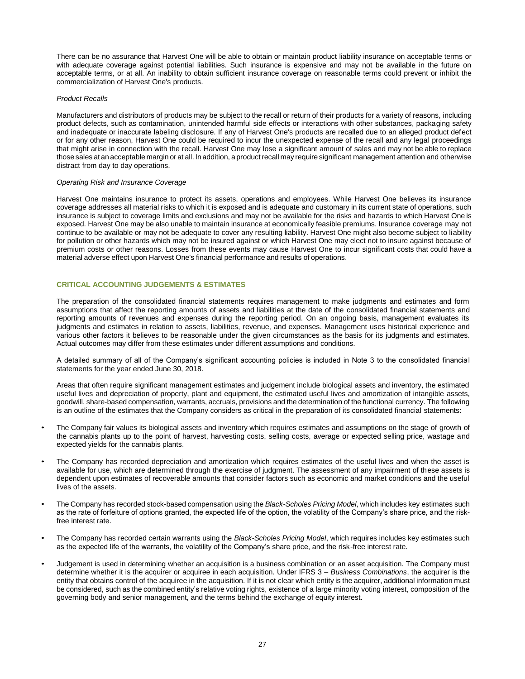There can be no assurance that Harvest One will be able to obtain or maintain product liability insurance on acceptable terms or with adequate coverage against potential liabilities. Such insurance is expensive and may not be available in the future on acceptable terms, or at all. An inability to obtain sufficient insurance coverage on reasonable terms could prevent or inhibit the commercialization of Harvest One's products.

# *Product Recalls*

Manufacturers and distributors of products may be subject to the recall or return of their products for a variety of reasons, including product defects, such as contamination, unintended harmful side effects or interactions with other substances, packaging safety and inadequate or inaccurate labeling disclosure. If any of Harvest One's products are recalled due to an alleged product defect or for any other reason, Harvest One could be required to incur the unexpected expense of the recall and any legal proceedings that might arise in connection with the recall. Harvest One may lose a significant amount of sales and may not be able to replace those sales at an acceptable margin or at all. In addition, a product recall may require significant management attention and otherwise distract from day to day operations.

#### *Operating Risk and Insurance Coverage*

Harvest One maintains insurance to protect its assets, operations and employees. While Harvest One believes its insurance coverage addresses all material risks to which it is exposed and is adequate and customary in its current state of operations, such insurance is subject to coverage limits and exclusions and may not be available for the risks and hazards to which Harvest One is exposed. Harvest One may be also unable to maintain insurance at economically feasible premiums. Insurance coverage may not continue to be available or may not be adequate to cover any resulting liability. Harvest One might also become subject to liability for pollution or other hazards which may not be insured against or which Harvest One may elect not to insure against because of premium costs or other reasons. Losses from these events may cause Harvest One to incur significant costs that could have a material adverse effect upon Harvest One's financial performance and results of operations.

# **CRITICAL ACCOUNTING JUDGEMENTS & ESTIMATES**

The preparation of the consolidated financial statements requires management to make judgments and estimates and form assumptions that affect the reporting amounts of assets and liabilities at the date of the consolidated financial statements and reporting amounts of revenues and expenses during the reporting period. On an ongoing basis, management evaluates its judgments and estimates in relation to assets, liabilities, revenue, and expenses. Management uses historical experience and various other factors it believes to be reasonable under the given circumstances as the basis for its judgments and estimates. Actual outcomes may differ from these estimates under different assumptions and conditions.

A detailed summary of all of the Company's significant accounting policies is included in Note 3 to the consolidated financial statements for the year ended June 30, 2018.

Areas that often require significant management estimates and judgement include biological assets and inventory, the estimated useful lives and depreciation of property, plant and equipment, the estimated useful lives and amortization of intangible assets, goodwill, share-based compensation, warrants, accruals, provisions and the determination of the functional currency. The following is an outline of the estimates that the Company considers as critical in the preparation of its consolidated financial statements:

- The Company fair values its biological assets and inventory which requires estimates and assumptions on the stage of growth of the cannabis plants up to the point of harvest, harvesting costs, selling costs, average or expected selling price, wastage and expected yields for the cannabis plants.
- The Company has recorded depreciation and amortization which requires estimates of the useful lives and when the asset is available for use, which are determined through the exercise of judgment. The assessment of any impairment of these assets is dependent upon estimates of recoverable amounts that consider factors such as economic and market conditions and the useful lives of the assets.
- The Company has recorded stock-based compensation using the *Black-Scholes Pricing Model*, which includes key estimates such as the rate of forfeiture of options granted, the expected life of the option, the volatility of the Company's share price, and the riskfree interest rate.
- The Company has recorded certain warrants using the *Black-Scholes Pricing Model*, which requires includes key estimates such as the expected life of the warrants, the volatility of the Company's share price, and the risk-free interest rate.
- Judgement is used in determining whether an acquisition is a business combination or an asset acquisition. The Company must determine whether it is the acquirer or acquiree in each acquisition. Under IFRS 3 – *Business Combinations*, the acquirer is the entity that obtains control of the acquiree in the acquisition. If it is not clear which entity is the acquirer, additional information must be considered, such as the combined entity's relative voting rights, existence of a large minority voting interest, composition of the governing body and senior management, and the terms behind the exchange of equity interest.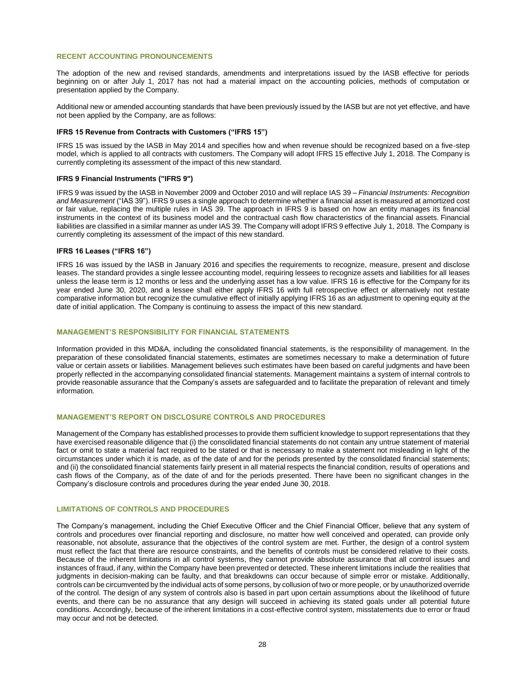# **RECENT ACCOUNTING PRONOUNCEMENTS**

The adoption of the new and revised standards, amendments and interpretations issued by the IASB effective for periods beginning on or after July 1, 2017 has not had a material impact on the accounting policies, methods of computation or presentation applied by the Company.

Additional new or amended accounting standards that have been previously issued by the IASB but are not yet effective, and have not been applied by the Company, are as follows:

# **IFRS 15 Revenue from Contracts with Customers ("IFRS 15")**

IFRS 15 was issued by the IASB in May 2014 and specifies how and when revenue should be recognized based on a five-step model, which is applied to all contracts with customers. The Company will adopt IFRS 15 effective July 1, 2018. The Company is currently completing its assessment of the impact of this new standard.

#### **IFRS 9 Financial Instruments ("IFRS 9")**

IFRS 9 was issued by the IASB in November 2009 and October 2010 and will replace IAS 39 – *Financial Instruments: Recognition and Measurement* ("IAS 39"). IFRS 9 uses a single approach to determine whether a financial asset is measured at amortized cost or fair value, replacing the multiple rules in IAS 39. The approach in IFRS 9 is based on how an entity manages its financial instruments in the context of its business model and the contractual cash flow characteristics of the financial assets. Financial liabilities are classified in a similar manner as under IAS 39. The Company will adopt IFRS 9 effective July 1, 2018. The Company is currently completing its assessment of the impact of this new standard.

# **IFRS 16 Leases ("IFRS 16")**

IFRS 16 was issued by the IASB in January 2016 and specifies the requirements to recognize, measure, present and disclose leases. The standard provides a single lessee accounting model, requiring lessees to recognize assets and liabilities for all leases unless the lease term is 12 months or less and the underlying asset has a low value. IFRS 16 is effective for the Company for its year ended June 30, 2020, and a lessee shall either apply IFRS 16 with full retrospective effect or alternatively not restate comparative information but recognize the cumulative effect of initially applying IFRS 16 as an adjustment to opening equity at the date of initial application. The Company is continuing to assess the impact of this new standard.

#### **MANAGEMENT'S RESPONSIBILITY FOR FINANCIAL STATEMENTS**

Information provided in this MD&A, including the consolidated financial statements, is the responsibility of management. In the preparation of these consolidated financial statements, estimates are sometimes necessary to make a determination of future value or certain assets or liabilities. Management believes such estimates have been based on careful judgments and have been properly reflected in the accompanying consolidated financial statements. Management maintains a system of internal controls to provide reasonable assurance that the Company's assets are safeguarded and to facilitate the preparation of relevant and timely information.

# **MANAGEMENT'S REPORT ON DISCLOSURE CONTROLS AND PROCEDURES**

Management of the Company has established processes to provide them sufficient knowledge to support representations that they have exercised reasonable diligence that (i) the consolidated financial statements do not contain any untrue statement of material fact or omit to state a material fact required to be stated or that is necessary to make a statement not misleading in light of the circumstances under which it is made, as of the date of and for the periods presented by the consolidated financial statements; and (ii) the consolidated financial statements fairly present in all material respects the financial condition, results of operations and cash flows of the Company, as of the date of and for the periods presented. There have been no significant changes in the Company's disclosure controls and procedures during the year ended June 30, 2018.

# **LIMITATIONS OF CONTROLS AND PROCEDURES**

The Company's management, including the Chief Executive Officer and the Chief Financial Officer, believe that any system of controls and procedures over financial reporting and disclosure, no matter how well conceived and operated, can provide only reasonable, not absolute, assurance that the objectives of the control system are met. Further, the design of a control system must reflect the fact that there are resource constraints, and the benefits of controls must be considered relative to their costs. Because of the inherent limitations in all control systems, they cannot provide absolute assurance that all control issues and instances of fraud, if any, within the Company have been prevented or detected. These inherent limitations include the realities that judgments in decision-making can be faulty, and that breakdowns can occur because of simple error or mistake. Additionally, controls can be circumvented by the individual acts of some persons, by collusion of two or more people, or by unauthorized override of the control. The design of any system of controls also is based in part upon certain assumptions about the likelihood of future events, and there can be no assurance that any design will succeed in achieving its stated goals under all potential future conditions. Accordingly, because of the inherent limitations in a cost-effective control system, misstatements due to error or fraud may occur and not be detected.